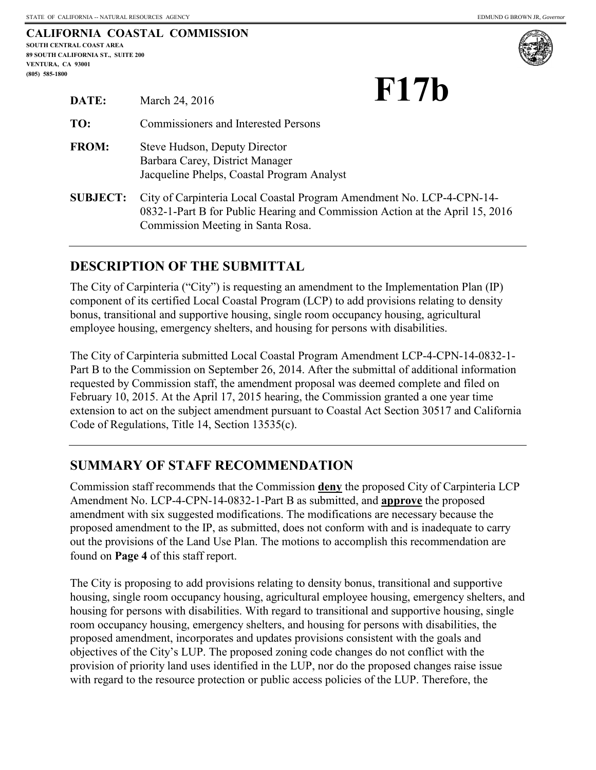|                                    | CALIFORNIA COASTAL COMMISSION |
|------------------------------------|-------------------------------|
| SOUTH CENTRAL COAST AREA           |                               |
| 89 SOUTH CALIFORNIA ST., SUITE 200 |                               |
| VENTURA. CA 93001                  |                               |
| $(805)$ 585-1800                   |                               |



**F17b** 

| DATE:           | March 24, 2016                                                                                                                                                                             | TI I D |
|-----------------|--------------------------------------------------------------------------------------------------------------------------------------------------------------------------------------------|--------|
| TO:             | <b>Commissioners and Interested Persons</b>                                                                                                                                                |        |
| <b>FROM:</b>    | Steve Hudson, Deputy Director<br>Barbara Carey, District Manager<br>Jacqueline Phelps, Coastal Program Analyst                                                                             |        |
| <b>SUBJECT:</b> | City of Carpinteria Local Coastal Program Amendment No. LCP-4-CPN-14-<br>0832-1-Part B for Public Hearing and Commission Action at the April 15, 2016<br>Commission Meeting in Santa Rosa. |        |

# **DESCRIPTION OF THE SUBMITTAL**

The City of Carpinteria ("City") is requesting an amendment to the Implementation Plan (IP) component of its certified Local Coastal Program (LCP) to add provisions relating to density bonus, transitional and supportive housing, single room occupancy housing, agricultural employee housing, emergency shelters, and housing for persons with disabilities.

The City of Carpinteria submitted Local Coastal Program Amendment LCP-4-CPN-14-0832-1- Part B to the Commission on September 26, 2014. After the submittal of additional information requested by Commission staff, the amendment proposal was deemed complete and filed on February 10, 2015. At the April 17, 2015 hearing, the Commission granted a one year time extension to act on the subject amendment pursuant to Coastal Act Section 30517 and California Code of Regulations, Title 14, Section 13535(c).

# **SUMMARY OF STAFF RECOMMENDATION**

Commission staff recommends that the Commission **deny** the proposed City of Carpinteria LCP Amendment No. LCP-4-CPN-14-0832-1-Part B as submitted, and **approve** the proposed amendment with six suggested modifications. The modifications are necessary because the proposed amendment to the IP, as submitted, does not conform with and is inadequate to carry out the provisions of the Land Use Plan. The motions to accomplish this recommendation are found on **Page 4** of this staff report.

The City is proposing to add provisions relating to density bonus, transitional and supportive housing, single room occupancy housing, agricultural employee housing, emergency shelters, and housing for persons with disabilities. With regard to transitional and supportive housing, single room occupancy housing, emergency shelters, and housing for persons with disabilities, the proposed amendment, incorporates and updates provisions consistent with the goals and objectives of the City's LUP. The proposed zoning code changes do not conflict with the provision of priority land uses identified in the LUP, nor do the proposed changes raise issue with regard to the resource protection or public access policies of the LUP. Therefore, the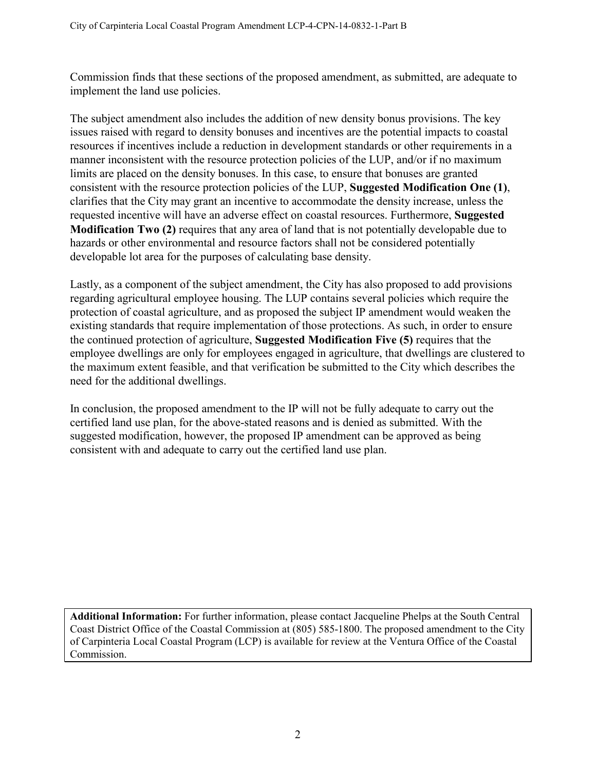Commission finds that these sections of the proposed amendment, as submitted, are adequate to implement the land use policies.

The subject amendment also includes the addition of new density bonus provisions. The key issues raised with regard to density bonuses and incentives are the potential impacts to coastal resources if incentives include a reduction in development standards or other requirements in a manner inconsistent with the resource protection policies of the LUP, and/or if no maximum limits are placed on the density bonuses. In this case, to ensure that bonuses are granted consistent with the resource protection policies of the LUP, **Suggested Modification One (1)**, clarifies that the City may grant an incentive to accommodate the density increase, unless the requested incentive will have an adverse effect on coastal resources. Furthermore, **Suggested Modification Two (2)** requires that any area of land that is not potentially developable due to hazards or other environmental and resource factors shall not be considered potentially developable lot area for the purposes of calculating base density.

Lastly, as a component of the subject amendment, the City has also proposed to add provisions regarding agricultural employee housing. The LUP contains several policies which require the protection of coastal agriculture, and as proposed the subject IP amendment would weaken the existing standards that require implementation of those protections. As such, in order to ensure the continued protection of agriculture, **Suggested Modification Five (5)** requires that the employee dwellings are only for employees engaged in agriculture, that dwellings are clustered to the maximum extent feasible, and that verification be submitted to the City which describes the need for the additional dwellings.

In conclusion, the proposed amendment to the IP will not be fully adequate to carry out the certified land use plan, for the above-stated reasons and is denied as submitted. With the suggested modification, however, the proposed IP amendment can be approved as being consistent with and adequate to carry out the certified land use plan.

**Additional Information:** For further information, please contact Jacqueline Phelps at the South Central Coast District Office of the Coastal Commission at (805) 585-1800. The proposed amendment to the City of Carpinteria Local Coastal Program (LCP) is available for review at the Ventura Office of the Coastal Commission.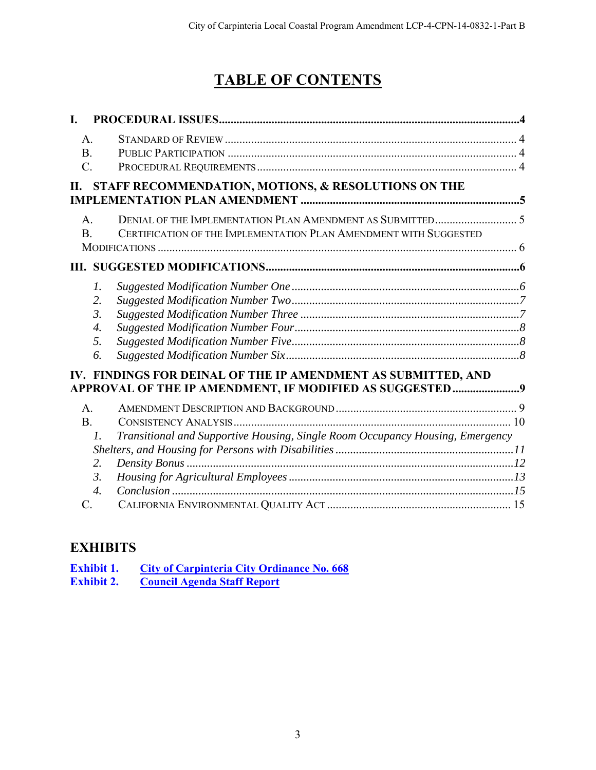# **TABLE OF CONTENTS**

| L.              |                                                                                                                           |  |
|-----------------|---------------------------------------------------------------------------------------------------------------------------|--|
| A <sub>1</sub>  |                                                                                                                           |  |
| B <sub>1</sub>  |                                                                                                                           |  |
| $\mathcal{C}$ . |                                                                                                                           |  |
| Н.              | STAFF RECOMMENDATION, MOTIONS, & RESOLUTIONS ON THE                                                                       |  |
|                 |                                                                                                                           |  |
| A <sub>1</sub>  |                                                                                                                           |  |
| <sub>B</sub>    | CERTIFICATION OF THE IMPLEMENTATION PLAN AMENDMENT WITH SUGGESTED                                                         |  |
|                 |                                                                                                                           |  |
| Ш.              |                                                                                                                           |  |
|                 | 1.                                                                                                                        |  |
|                 | 2.                                                                                                                        |  |
|                 | 3.                                                                                                                        |  |
|                 | 4.                                                                                                                        |  |
|                 | 5.                                                                                                                        |  |
|                 | 6.                                                                                                                        |  |
|                 | IV. FINDINGS FOR DEINAL OF THE IP AMENDMENT AS SUBMITTED, AND<br>APPROVAL OF THE IP AMENDMENT, IF MODIFIED AS SUGGESTED 9 |  |
| $\mathbf{A}$ .  |                                                                                                                           |  |
| B <sub>1</sub>  |                                                                                                                           |  |
|                 | Transitional and Supportive Housing, Single Room Occupancy Housing, Emergency<br>$\mathcal{I}$ .                          |  |
|                 |                                                                                                                           |  |
|                 | 2.                                                                                                                        |  |
|                 | $\mathfrak{Z}$ .                                                                                                          |  |
|                 | $\overline{4}$ .                                                                                                          |  |
| C               |                                                                                                                           |  |

# **EXHIBITS**

| <b>Exhibit 1.</b> | City of Carpinteria City Ordinance No. 668 |
|-------------------|--------------------------------------------|
| <b>Exhibit 2.</b> | <b>Council Agenda Staff Report</b>         |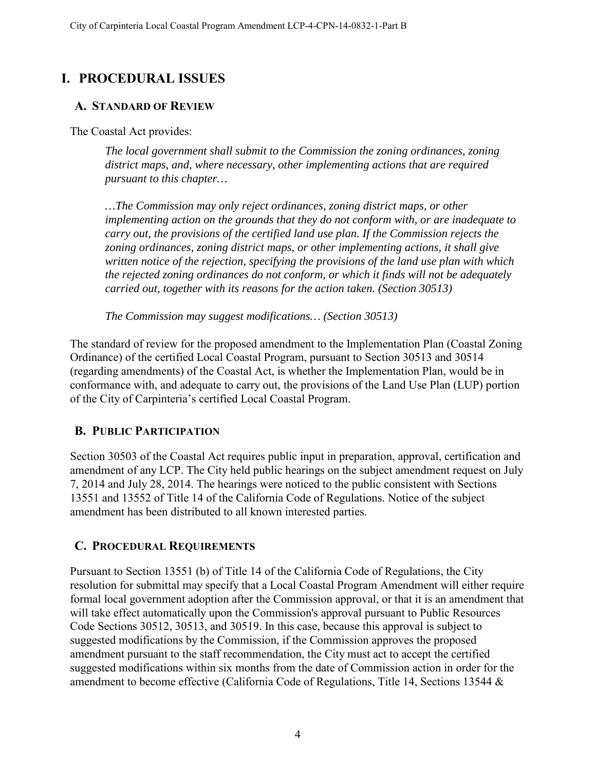# <span id="page-3-0"></span>**I. PROCEDURAL ISSUES**

## <span id="page-3-1"></span>**A. STANDARD OF REVIEW**

The Coastal Act provides:

*The local government shall submit to the Commission the zoning ordinances, zoning district maps, and, where necessary, other implementing actions that are required pursuant to this chapter…* 

*…The Commission may only reject ordinances, zoning district maps, or other implementing action on the grounds that they do not conform with, or are inadequate to carry out, the provisions of the certified land use plan. If the Commission rejects the zoning ordinances, zoning district maps, or other implementing actions, it shall give written notice of the rejection, specifying the provisions of the land use plan with which the rejected zoning ordinances do not conform, or which it finds will not be adequately carried out, together with its reasons for the action taken. (Section 30513)* 

*The Commission may suggest modifications… (Section 30513)* 

The standard of review for the proposed amendment to the Implementation Plan (Coastal Zoning Ordinance) of the certified Local Coastal Program, pursuant to Section 30513 and 30514 (regarding amendments) of the Coastal Act, is whether the Implementation Plan, would be in conformance with, and adequate to carry out, the provisions of the Land Use Plan (LUP) portion of the City of Carpinteria's certified Local Coastal Program.

# <span id="page-3-2"></span>**B. PUBLIC PARTICIPATION**

Section 30503 of the Coastal Act requires public input in preparation, approval, certification and amendment of any LCP. The City held public hearings on the subject amendment request on July 7, 2014 and July 28, 2014. The hearings were noticed to the public consistent with Sections 13551 and 13552 of Title 14 of the California Code of Regulations. Notice of the subject amendment has been distributed to all known interested parties.

# <span id="page-3-3"></span>**C. PROCEDURAL REQUIREMENTS**

Pursuant to Section 13551 (b) of Title 14 of the California Code of Regulations, the City resolution for submittal may specify that a Local Coastal Program Amendment will either require formal local government adoption after the Commission approval, or that it is an amendment that will take effect automatically upon the Commission's approval pursuant to Public Resources Code Sections 30512, 30513, and 30519. In this case, because this approval is subject to suggested modifications by the Commission, if the Commission approves the proposed amendment pursuant to the staff recommendation, the City must act to accept the certified suggested modifications within six months from the date of Commission action in order for the amendment to become effective (California Code of Regulations, Title 14, Sections 13544 &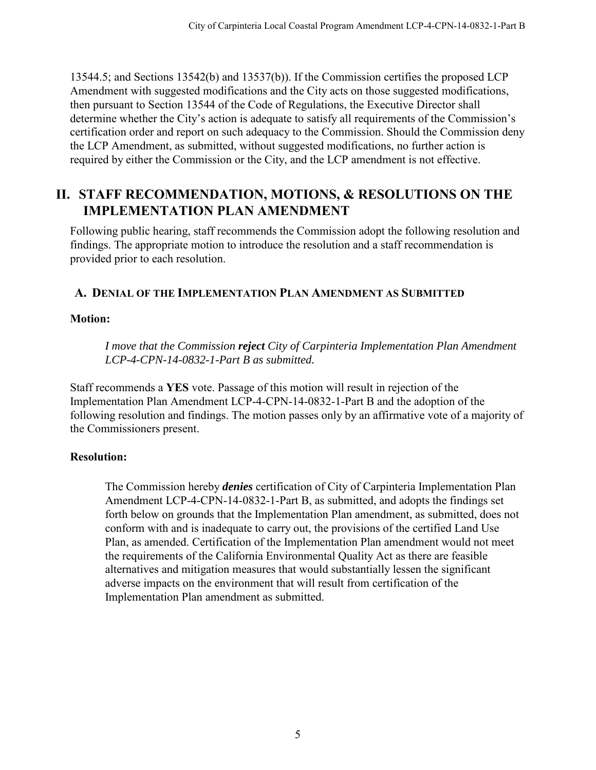13544.5; and Sections 13542(b) and 13537(b)). If the Commission certifies the proposed LCP Amendment with suggested modifications and the City acts on those suggested modifications, then pursuant to Section 13544 of the Code of Regulations, the Executive Director shall determine whether the City's action is adequate to satisfy all requirements of the Commission's certification order and report on such adequacy to the Commission. Should the Commission deny the LCP Amendment, as submitted, without suggested modifications, no further action is required by either the Commission or the City, and the LCP amendment is not effective.

# <span id="page-4-0"></span>**II. STAFF RECOMMENDATION, MOTIONS, & RESOLUTIONS ON THE IMPLEMENTATION PLAN AMENDMENT**

Following public hearing, staff recommends the Commission adopt the following resolution and findings. The appropriate motion to introduce the resolution and a staff recommendation is provided prior to each resolution.

## <span id="page-4-1"></span>**A. DENIAL OF THE IMPLEMENTATION PLAN AMENDMENT AS SUBMITTED**

## **Motion:**

*I move that the Commission reject City of Carpinteria Implementation Plan Amendment LCP-4-CPN-14-0832-1-Part B as submitted.* 

Staff recommends a **YES** vote. Passage of this motion will result in rejection of the Implementation Plan Amendment LCP-4-CPN-14-0832-1-Part B and the adoption of the following resolution and findings. The motion passes only by an affirmative vote of a majority of the Commissioners present.

# **Resolution:**

The Commission hereby *denies* certification of City of Carpinteria Implementation Plan Amendment LCP-4-CPN-14-0832-1-Part B, as submitted, and adopts the findings set forth below on grounds that the Implementation Plan amendment, as submitted, does not conform with and is inadequate to carry out, the provisions of the certified Land Use Plan, as amended. Certification of the Implementation Plan amendment would not meet the requirements of the California Environmental Quality Act as there are feasible alternatives and mitigation measures that would substantially lessen the significant adverse impacts on the environment that will result from certification of the Implementation Plan amendment as submitted.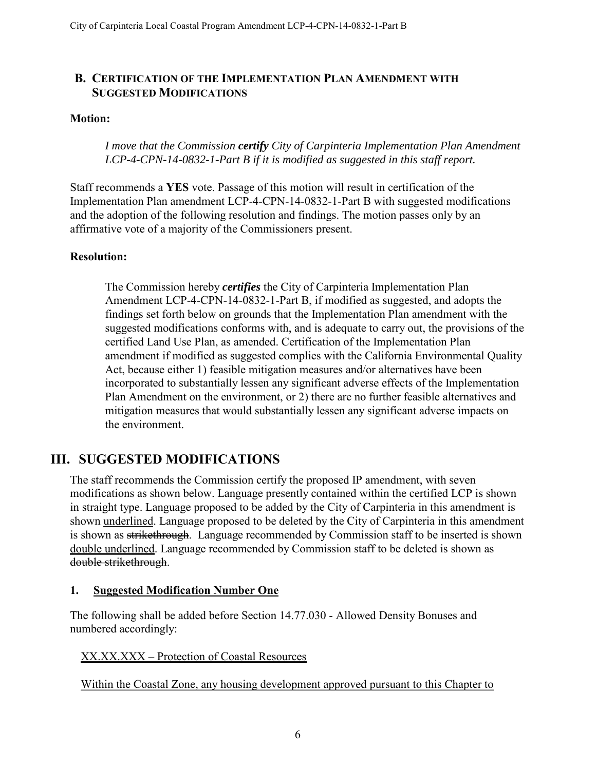## <span id="page-5-0"></span>**B. CERTIFICATION OF THE IMPLEMENTATION PLAN AMENDMENT WITH SUGGESTED MODIFICATIONS**

#### **Motion:**

#### *I move that the Commission certify City of Carpinteria Implementation Plan Amendment LCP-4-CPN-14-0832-1-Part B if it is modified as suggested in this staff report.*

Staff recommends a **YES** vote. Passage of this motion will result in certification of the Implementation Plan amendment LCP-4-CPN-14-0832-1-Part B with suggested modifications and the adoption of the following resolution and findings. The motion passes only by an affirmative vote of a majority of the Commissioners present.

#### **Resolution:**

The Commission hereby *certifies* the City of Carpinteria Implementation Plan Amendment LCP-4-CPN-14-0832-1-Part B, if modified as suggested, and adopts the findings set forth below on grounds that the Implementation Plan amendment with the suggested modifications conforms with, and is adequate to carry out, the provisions of the certified Land Use Plan, as amended. Certification of the Implementation Plan amendment if modified as suggested complies with the California Environmental Quality Act, because either 1) feasible mitigation measures and/or alternatives have been incorporated to substantially lessen any significant adverse effects of the Implementation Plan Amendment on the environment, or 2) there are no further feasible alternatives and mitigation measures that would substantially lessen any significant adverse impacts on the environment.

# <span id="page-5-1"></span>**III. SUGGESTED MODIFICATIONS**

The staff recommends the Commission certify the proposed IP amendment, with seven modifications as shown below. Language presently contained within the certified LCP is shown in straight type. Language proposed to be added by the City of Carpinteria in this amendment is shown underlined. Language proposed to be deleted by the City of Carpinteria in this amendment is shown as strikethrough. Language recommended by Commission staff to be inserted is shown double underlined. Language recommended by Commission staff to be deleted is shown as double strikethrough.

#### <span id="page-5-2"></span>**1. Suggested Modification Number One**

The following shall be added before Section 14.77.030 - Allowed Density Bonuses and numbered accordingly:

#### XX.XX.XXX – Protection of Coastal Resources

Within the Coastal Zone, any housing development approved pursuant to this Chapter to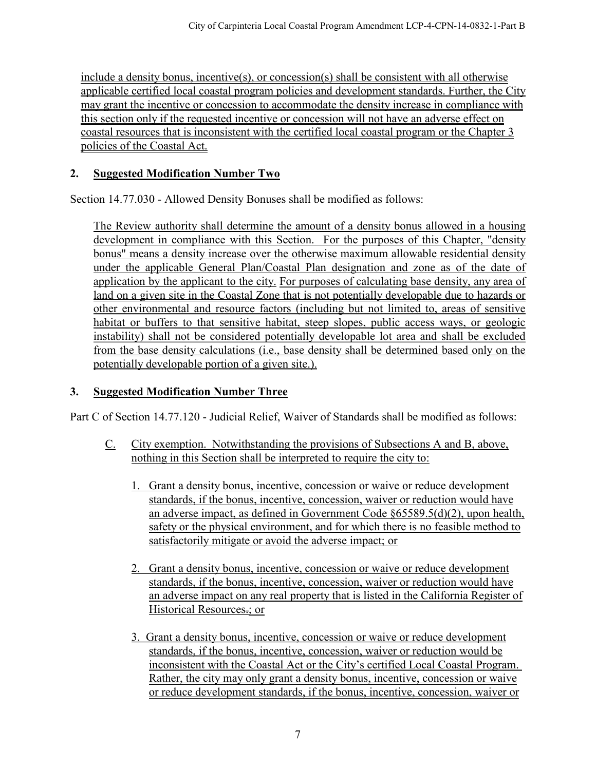include a density bonus, incentive(s), or concession(s) shall be consistent with all otherwise applicable certified local coastal program policies and development standards. Further, the City may grant the incentive or concession to accommodate the density increase in compliance with this section only if the requested incentive or concession will not have an adverse effect on coastal resources that is inconsistent with the certified local coastal program or the Chapter 3 policies of the Coastal Act.

## <span id="page-6-0"></span>**2. Suggested Modification Number Two**

Section 14.77.030 - Allowed Density Bonuses shall be modified as follows:

The Review authority shall determine the amount of a density bonus allowed in a housing development in compliance with this Section. For the purposes of this Chapter, "density bonus" means a density increase over the otherwise maximum allowable residential density under the applicable General Plan/Coastal Plan designation and zone as of the date of application by the applicant to the city. For purposes of calculating base density, any area of land on a given site in the Coastal Zone that is not potentially developable due to hazards or other environmental and resource factors (including but not limited to, areas of sensitive habitat or buffers to that sensitive habitat, steep slopes, public access ways, or geologic instability) shall not be considered potentially developable lot area and shall be excluded from the base density calculations (i.e., base density shall be determined based only on the potentially developable portion of a given site.).

# <span id="page-6-1"></span>**3. Suggested Modification Number Three**

Part C of Section 14.77.120 - Judicial Relief, Waiver of Standards shall be modified as follows:

- C. City exemption. Notwithstanding the provisions of Subsections A and B, above, nothing in this Section shall be interpreted to require the city to:
	- 1. Grant a density bonus, incentive, concession or waive or reduce development standards, if the bonus, incentive, concession, waiver or reduction would have an adverse impact, as defined in Government Code §65589.5(d)(2), upon health, safety or the physical environment, and for which there is no feasible method to satisfactorily mitigate or avoid the adverse impact; or
	- 2. Grant a density bonus, incentive, concession or waive or reduce development standards, if the bonus, incentive, concession, waiver or reduction would have an adverse impact on any real property that is listed in the California Register of Historical Resources.; or
	- 3. Grant a density bonus, incentive, concession or waive or reduce development standards, if the bonus, incentive, concession, waiver or reduction would be inconsistent with the Coastal Act or the City's certified Local Coastal Program. Rather, the city may only grant a density bonus, incentive, concession or waive or reduce development standards, if the bonus, incentive, concession, waiver or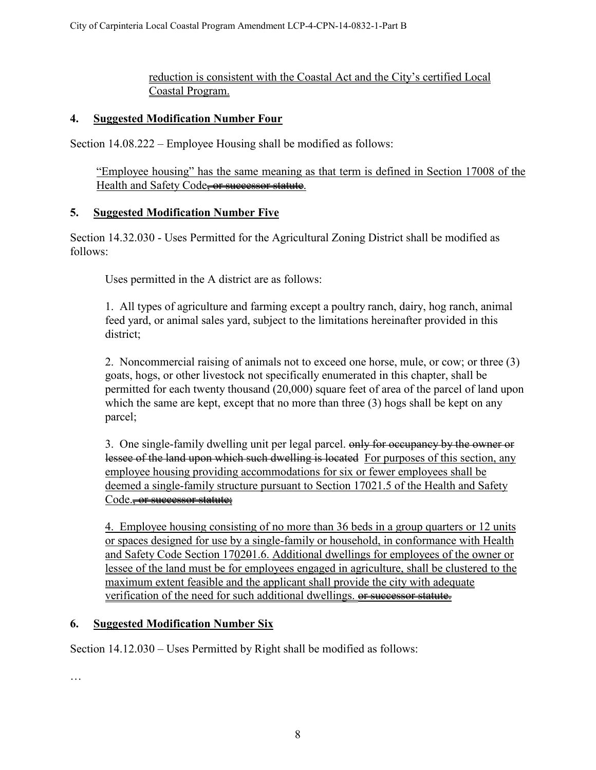## reduction is consistent with the Coastal Act and the City's certified Local Coastal Program.

#### <span id="page-7-0"></span>**4. Suggested Modification Number Four**

Section 14.08.222 – Employee Housing shall be modified as follows:

"Employee housing" has the same meaning as that term is defined in Section 17008 of the Health and Safety Code<del>, or successor statute</del>.

#### <span id="page-7-1"></span>**5. Suggested Modification Number Five**

Section 14.32.030 - Uses Permitted for the Agricultural Zoning District shall be modified as follows:

Uses permitted in the A district are as follows:

1. All types of agriculture and farming except a poultry ranch, dairy, hog ranch, animal feed yard, or animal sales yard, subject to the limitations hereinafter provided in this district;

2. Noncommercial raising of animals not to exceed one horse, mule, or cow; or three (3) goats, hogs, or other livestock not specifically enumerated in this chapter, shall be permitted for each twenty thousand (20,000) square feet of area of the parcel of land upon which the same are kept, except that no more than three (3) hogs shall be kept on any parcel;

3. One single-family dwelling unit per legal parcel. only for occupancy by the owner or lessee of the land upon which such dwelling is located For purposes of this section, any employee housing providing accommodations for six or fewer employees shall be deemed a single-family structure pursuant to Section 17021.5 of the Health and Safety Code.<del>, or successor statute:</del>

4. Employee housing consisting of no more than 36 beds in a group quarters or 12 units or spaces designed for use by a single-family or household, in conformance with Health and Safety Code Section 170201.6. Additional dwellings for employees of the owner or lessee of the land must be for employees engaged in agriculture, shall be clustered to the maximum extent feasible and the applicant shall provide the city with adequate verification of the need for such additional dwellings. or successor statute.

## <span id="page-7-2"></span>**6. Suggested Modification Number Six**

Section 14.12.030 – Uses Permitted by Right shall be modified as follows:

…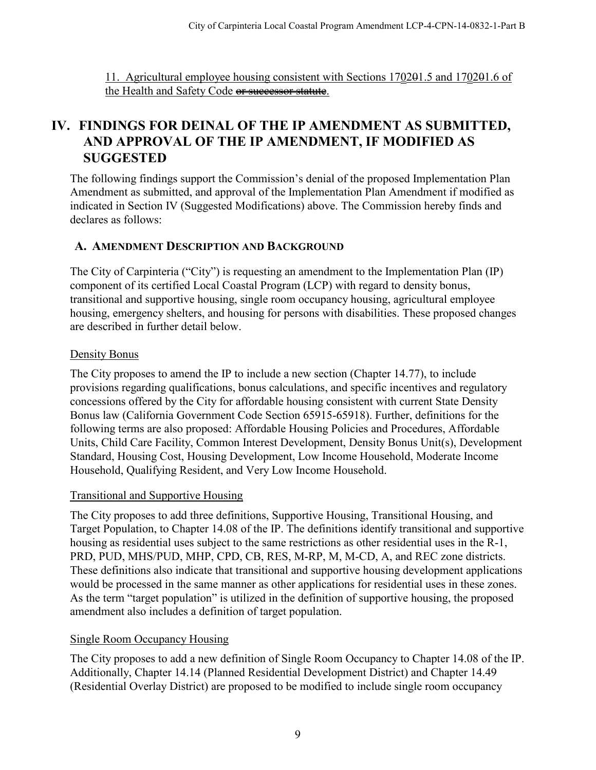11. Agricultural employee housing consistent with Sections 170201.5 and 170201.6 of the Health and Safety Code or successor statute.

# <span id="page-8-0"></span>**IV. FINDINGS FOR DEINAL OF THE IP AMENDMENT AS SUBMITTED, AND APPROVAL OF THE IP AMENDMENT, IF MODIFIED AS SUGGESTED**

The following findings support the Commission's denial of the proposed Implementation Plan Amendment as submitted, and approval of the Implementation Plan Amendment if modified as indicated in Section IV (Suggested Modifications) above. The Commission hereby finds and declares as follows:

## <span id="page-8-1"></span>**A. AMENDMENT DESCRIPTION AND BACKGROUND**

The City of Carpinteria ("City") is requesting an amendment to the Implementation Plan (IP) component of its certified Local Coastal Program (LCP) with regard to density bonus, transitional and supportive housing, single room occupancy housing, agricultural employee housing, emergency shelters, and housing for persons with disabilities. These proposed changes are described in further detail below.

#### Density Bonus

The City proposes to amend the IP to include a new section (Chapter 14.77), to include provisions regarding qualifications, bonus calculations, and specific incentives and regulatory concessions offered by the City for affordable housing consistent with current State Density Bonus law (California Government Code Section 65915-65918). Further, definitions for the following terms are also proposed: Affordable Housing Policies and Procedures, Affordable Units, Child Care Facility, Common Interest Development, Density Bonus Unit(s), Development Standard, Housing Cost, Housing Development, Low Income Household, Moderate Income Household, Qualifying Resident, and Very Low Income Household.

## Transitional and Supportive Housing

The City proposes to add three definitions, Supportive Housing, Transitional Housing, and Target Population, to Chapter 14.08 of the IP. The definitions identify transitional and supportive housing as residential uses subject to the same restrictions as other residential uses in the R-1, PRD, PUD, MHS/PUD, MHP, CPD, CB, RES, M-RP, M, M-CD, A, and REC zone districts. These definitions also indicate that transitional and supportive housing development applications would be processed in the same manner as other applications for residential uses in these zones. As the term "target population" is utilized in the definition of supportive housing, the proposed amendment also includes a definition of target population.

## Single Room Occupancy Housing

The City proposes to add a new definition of Single Room Occupancy to Chapter 14.08 of the IP. Additionally, Chapter 14.14 (Planned Residential Development District) and Chapter 14.49 (Residential Overlay District) are proposed to be modified to include single room occupancy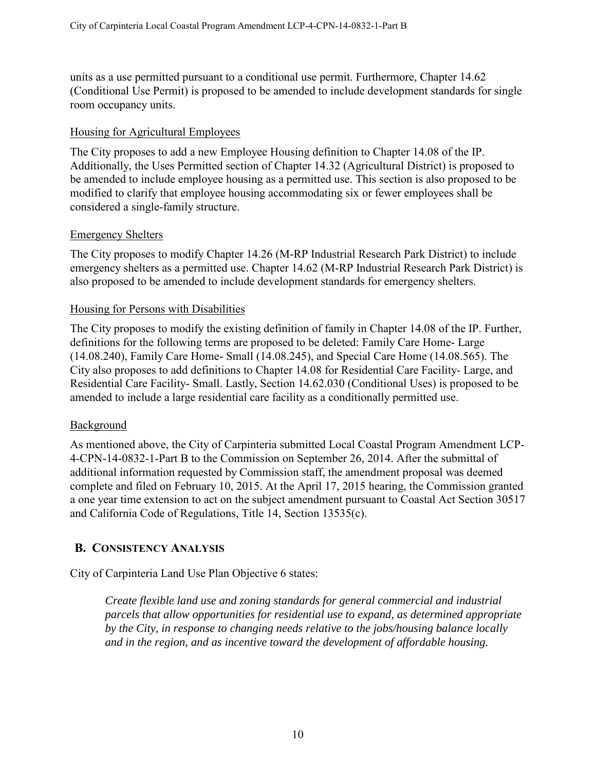units as a use permitted pursuant to a conditional use permit. Furthermore, Chapter 14.62 (Conditional Use Permit) is proposed to be amended to include development standards for single room occupancy units.

#### Housing for Agricultural Employees

The City proposes to add a new Employee Housing definition to Chapter 14.08 of the IP. Additionally, the Uses Permitted section of Chapter 14.32 (Agricultural District) is proposed to be amended to include employee housing as a permitted use. This section is also proposed to be modified to clarify that employee housing accommodating six or fewer employees shall be considered a single-family structure.

#### Emergency Shelters

The City proposes to modify Chapter 14.26 (M-RP Industrial Research Park District) to include emergency shelters as a permitted use. Chapter 14.62 (M-RP Industrial Research Park District) is also proposed to be amended to include development standards for emergency shelters.

#### Housing for Persons with Disabilities

The City proposes to modify the existing definition of family in Chapter 14.08 of the IP. Further, definitions for the following terms are proposed to be deleted: Family Care Home- Large (14.08.240), Family Care Home- Small (14.08.245), and Special Care Home (14.08.565). The City also proposes to add definitions to Chapter 14.08 for Residential Care Facility- Large, and Residential Care Facility- Small. Lastly, Section 14.62.030 (Conditional Uses) is proposed to be amended to include a large residential care facility as a conditionally permitted use.

#### Background

As mentioned above, the City of Carpinteria submitted Local Coastal Program Amendment LCP-4-CPN-14-0832-1-Part B to the Commission on September 26, 2014. After the submittal of additional information requested by Commission staff, the amendment proposal was deemed complete and filed on February 10, 2015. At the April 17, 2015 hearing, the Commission granted a one year time extension to act on the subject amendment pursuant to Coastal Act Section 30517 and California Code of Regulations, Title 14, Section 13535(c).

## <span id="page-9-0"></span>**B. CONSISTENCY ANALYSIS**

City of Carpinteria Land Use Plan Objective 6 states:

*Create flexible land use and zoning standards for general commercial and industrial parcels that allow opportunities for residential use to expand, as determined appropriate by the City, in response to changing needs relative to the jobs/housing balance locally and in the region, and as incentive toward the development of affordable housing.*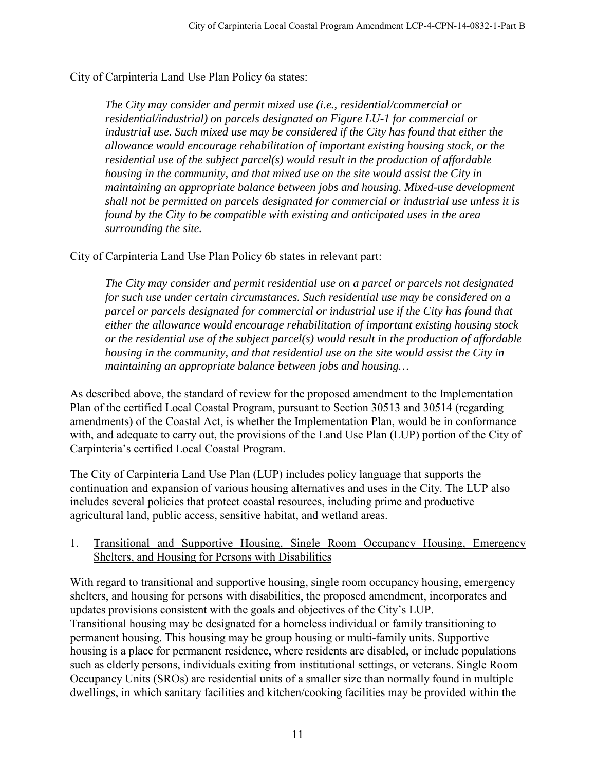City of Carpinteria Land Use Plan Policy 6a states:

*The City may consider and permit mixed use (i.e., residential/commercial or residential/industrial) on parcels designated on Figure LU-1 for commercial or industrial use. Such mixed use may be considered if the City has found that either the allowance would encourage rehabilitation of important existing housing stock, or the residential use of the subject parcel(s) would result in the production of affordable housing in the community, and that mixed use on the site would assist the City in maintaining an appropriate balance between jobs and housing. Mixed-use development shall not be permitted on parcels designated for commercial or industrial use unless it is found by the City to be compatible with existing and anticipated uses in the area surrounding the site.* 

City of Carpinteria Land Use Plan Policy 6b states in relevant part:

*The City may consider and permit residential use on a parcel or parcels not designated for such use under certain circumstances. Such residential use may be considered on a parcel or parcels designated for commercial or industrial use if the City has found that either the allowance would encourage rehabilitation of important existing housing stock or the residential use of the subject parcel(s) would result in the production of affordable housing in the community, and that residential use on the site would assist the City in maintaining an appropriate balance between jobs and housing…* 

As described above, the standard of review for the proposed amendment to the Implementation Plan of the certified Local Coastal Program, pursuant to Section 30513 and 30514 (regarding amendments) of the Coastal Act, is whether the Implementation Plan, would be in conformance with, and adequate to carry out, the provisions of the Land Use Plan (LUP) portion of the City of Carpinteria's certified Local Coastal Program.

The City of Carpinteria Land Use Plan (LUP) includes policy language that supports the continuation and expansion of various housing alternatives and uses in the City. The LUP also includes several policies that protect coastal resources, including prime and productive agricultural land, public access, sensitive habitat, and wetland areas.

#### <span id="page-10-0"></span>1. Transitional and Supportive Housing, Single Room Occupancy Housing, Emergency Shelters, and Housing for Persons with Disabilities

With regard to transitional and supportive housing, single room occupancy housing, emergency shelters, and housing for persons with disabilities, the proposed amendment, incorporates and updates provisions consistent with the goals and objectives of the City's LUP. Transitional housing may be designated for a homeless individual or family transitioning to permanent housing. This housing may be group housing or multi-family units. Supportive housing is a place for permanent residence, where residents are disabled, or include populations such as elderly persons, individuals exiting from institutional settings, or veterans. Single Room Occupancy Units (SROs) are residential units of a smaller size than normally found in multiple dwellings, in which sanitary facilities and kitchen/cooking facilities may be provided within the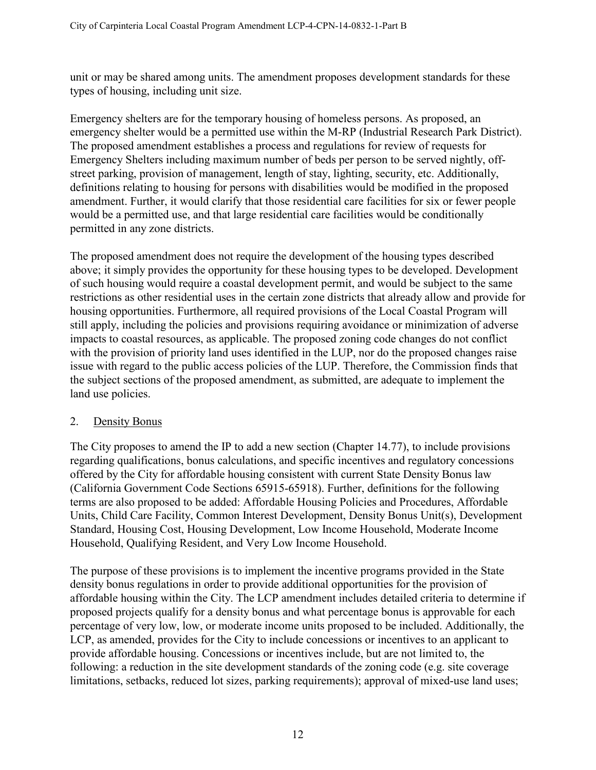unit or may be shared among units. The amendment proposes development standards for these types of housing, including unit size.

Emergency shelters are for the temporary housing of homeless persons. As proposed, an emergency shelter would be a permitted use within the M-RP (Industrial Research Park District). The proposed amendment establishes a process and regulations for review of requests for Emergency Shelters including maximum number of beds per person to be served nightly, offstreet parking, provision of management, length of stay, lighting, security, etc. Additionally, definitions relating to housing for persons with disabilities would be modified in the proposed amendment. Further, it would clarify that those residential care facilities for six or fewer people would be a permitted use, and that large residential care facilities would be conditionally permitted in any zone districts.

The proposed amendment does not require the development of the housing types described above; it simply provides the opportunity for these housing types to be developed. Development of such housing would require a coastal development permit, and would be subject to the same restrictions as other residential uses in the certain zone districts that already allow and provide for housing opportunities. Furthermore, all required provisions of the Local Coastal Program will still apply, including the policies and provisions requiring avoidance or minimization of adverse impacts to coastal resources, as applicable. The proposed zoning code changes do not conflict with the provision of priority land uses identified in the LUP, nor do the proposed changes raise issue with regard to the public access policies of the LUP. Therefore, the Commission finds that the subject sections of the proposed amendment, as submitted, are adequate to implement the land use policies.

#### <span id="page-11-0"></span>2. Density Bonus

The City proposes to amend the IP to add a new section (Chapter 14.77), to include provisions regarding qualifications, bonus calculations, and specific incentives and regulatory concessions offered by the City for affordable housing consistent with current State Density Bonus law (California Government Code Sections 65915-65918). Further, definitions for the following terms are also proposed to be added: Affordable Housing Policies and Procedures, Affordable Units, Child Care Facility, Common Interest Development, Density Bonus Unit(s), Development Standard, Housing Cost, Housing Development, Low Income Household, Moderate Income Household, Qualifying Resident, and Very Low Income Household.

The purpose of these provisions is to implement the incentive programs provided in the State density bonus regulations in order to provide additional opportunities for the provision of affordable housing within the City. The LCP amendment includes detailed criteria to determine if proposed projects qualify for a density bonus and what percentage bonus is approvable for each percentage of very low, low, or moderate income units proposed to be included. Additionally, the LCP, as amended, provides for the City to include concessions or incentives to an applicant to provide affordable housing. Concessions or incentives include, but are not limited to, the following: a reduction in the site development standards of the zoning code (e.g. site coverage limitations, setbacks, reduced lot sizes, parking requirements); approval of mixed-use land uses;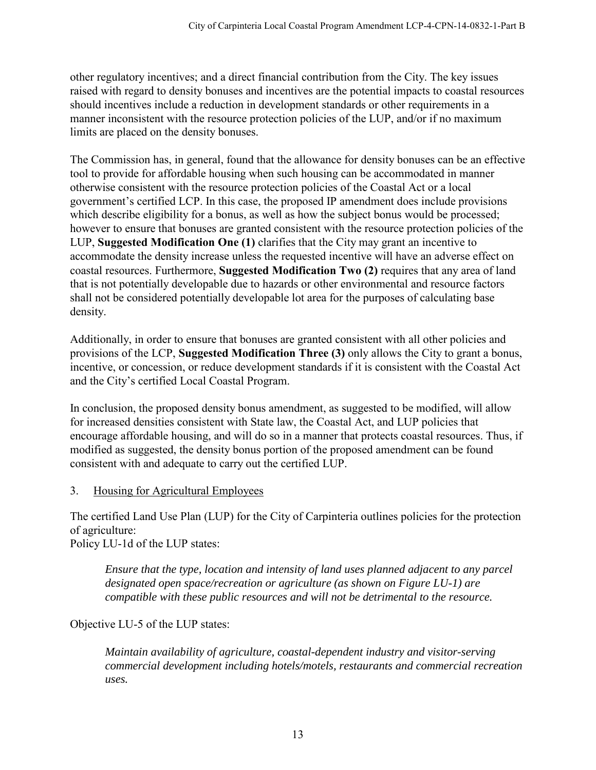other regulatory incentives; and a direct financial contribution from the City. The key issues raised with regard to density bonuses and incentives are the potential impacts to coastal resources should incentives include a reduction in development standards or other requirements in a manner inconsistent with the resource protection policies of the LUP, and/or if no maximum limits are placed on the density bonuses.

The Commission has, in general, found that the allowance for density bonuses can be an effective tool to provide for affordable housing when such housing can be accommodated in manner otherwise consistent with the resource protection policies of the Coastal Act or a local government's certified LCP. In this case, the proposed IP amendment does include provisions which describe eligibility for a bonus, as well as how the subject bonus would be processed; however to ensure that bonuses are granted consistent with the resource protection policies of the LUP, **Suggested Modification One (1)** clarifies that the City may grant an incentive to accommodate the density increase unless the requested incentive will have an adverse effect on coastal resources. Furthermore, **Suggested Modification Two (2)** requires that any area of land that is not potentially developable due to hazards or other environmental and resource factors shall not be considered potentially developable lot area for the purposes of calculating base density.

Additionally, in order to ensure that bonuses are granted consistent with all other policies and provisions of the LCP, **Suggested Modification Three (3)** only allows the City to grant a bonus, incentive, or concession, or reduce development standards if it is consistent with the Coastal Act and the City's certified Local Coastal Program.

In conclusion, the proposed density bonus amendment, as suggested to be modified, will allow for increased densities consistent with State law, the Coastal Act, and LUP policies that encourage affordable housing, and will do so in a manner that protects coastal resources. Thus, if modified as suggested, the density bonus portion of the proposed amendment can be found consistent with and adequate to carry out the certified LUP.

## <span id="page-12-0"></span>3. Housing for Agricultural Employees

The certified Land Use Plan (LUP) for the City of Carpinteria outlines policies for the protection of agriculture:

Policy LU-1d of the LUP states:

*Ensure that the type, location and intensity of land uses planned adjacent to any parcel designated open space/recreation or agriculture (as shown on Figure LU-1) are compatible with these public resources and will not be detrimental to the resource.* 

Objective LU-5 of the LUP states:

*Maintain availability of agriculture, coastal-dependent industry and visitor-serving commercial development including hotels/motels, restaurants and commercial recreation uses.*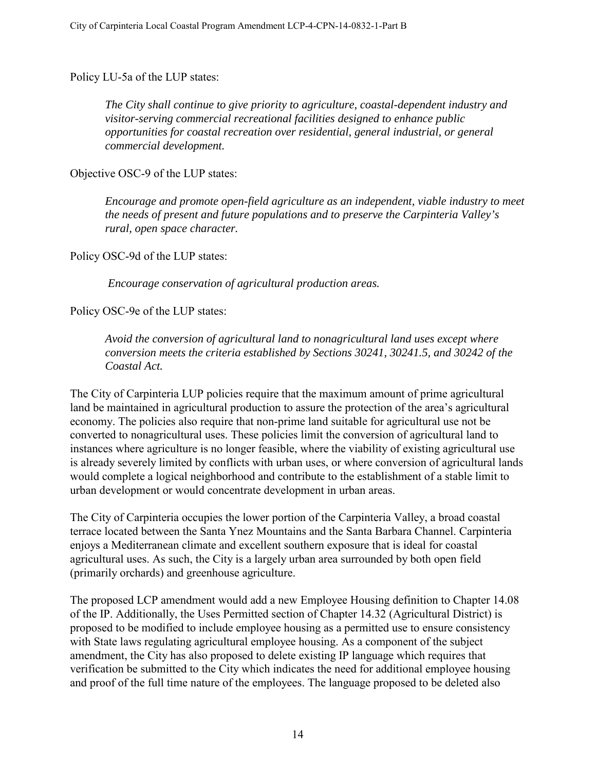Policy LU-5a of the LUP states:

*The City shall continue to give priority to agriculture, coastal-dependent industry and visitor-serving commercial recreational facilities designed to enhance public opportunities for coastal recreation over residential, general industrial, or general commercial development.*

Objective OSC-9 of the LUP states:

*Encourage and promote open-field agriculture as an independent, viable industry to meet the needs of present and future populations and to preserve the Carpinteria Valley's rural, open space character.* 

Policy OSC-9d of the LUP states:

 *Encourage conservation of agricultural production areas.* 

Policy OSC-9e of the LUP states:

*Avoid the conversion of agricultural land to nonagricultural land uses except where conversion meets the criteria established by Sections 30241, 30241.5, and 30242 of the Coastal Act.* 

The City of Carpinteria LUP policies require that the maximum amount of prime agricultural land be maintained in agricultural production to assure the protection of the area's agricultural economy. The policies also require that non-prime land suitable for agricultural use not be converted to nonagricultural uses. These policies limit the conversion of agricultural land to instances where agriculture is no longer feasible, where the viability of existing agricultural use is already severely limited by conflicts with urban uses, or where conversion of agricultural lands would complete a logical neighborhood and contribute to the establishment of a stable limit to urban development or would concentrate development in urban areas.

The City of Carpinteria occupies the lower portion of the Carpinteria Valley, a broad coastal terrace located between the Santa Ynez Mountains and the Santa Barbara Channel. Carpinteria enjoys a Mediterranean climate and excellent southern exposure that is ideal for coastal agricultural uses. As such, the City is a largely urban area surrounded by both open field (primarily orchards) and greenhouse agriculture.

The proposed LCP amendment would add a new Employee Housing definition to Chapter 14.08 of the IP. Additionally, the Uses Permitted section of Chapter 14.32 (Agricultural District) is proposed to be modified to include employee housing as a permitted use to ensure consistency with State laws regulating agricultural employee housing. As a component of the subject amendment, the City has also proposed to delete existing IP language which requires that verification be submitted to the City which indicates the need for additional employee housing and proof of the full time nature of the employees. The language proposed to be deleted also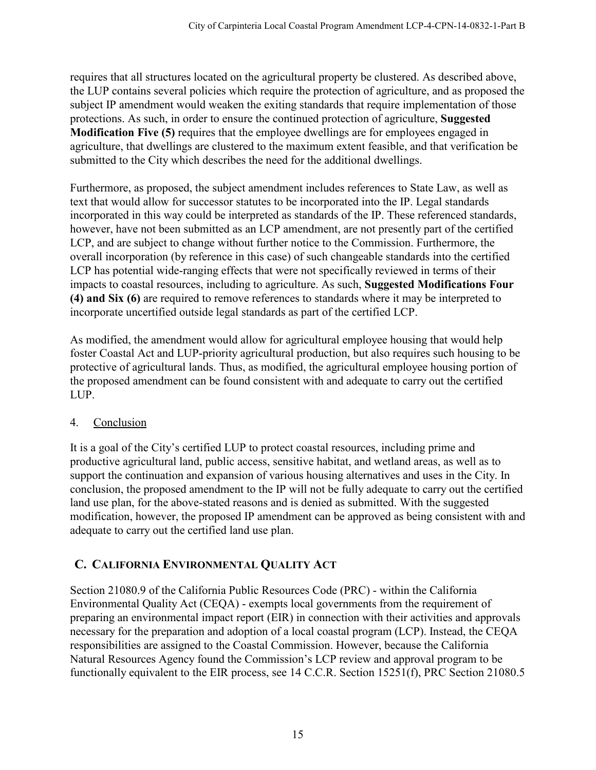requires that all structures located on the agricultural property be clustered. As described above, the LUP contains several policies which require the protection of agriculture, and as proposed the subject IP amendment would weaken the exiting standards that require implementation of those protections. As such, in order to ensure the continued protection of agriculture, **Suggested Modification Five (5)** requires that the employee dwellings are for employees engaged in agriculture, that dwellings are clustered to the maximum extent feasible, and that verification be submitted to the City which describes the need for the additional dwellings.

Furthermore, as proposed, the subject amendment includes references to State Law, as well as text that would allow for successor statutes to be incorporated into the IP. Legal standards incorporated in this way could be interpreted as standards of the IP. These referenced standards, however, have not been submitted as an LCP amendment, are not presently part of the certified LCP, and are subject to change without further notice to the Commission. Furthermore, the overall incorporation (by reference in this case) of such changeable standards into the certified LCP has potential wide-ranging effects that were not specifically reviewed in terms of their impacts to coastal resources, including to agriculture. As such, **Suggested Modifications Four (4) and Six (6)** are required to remove references to standards where it may be interpreted to incorporate uncertified outside legal standards as part of the certified LCP.

As modified, the amendment would allow for agricultural employee housing that would help foster Coastal Act and LUP-priority agricultural production, but also requires such housing to be protective of agricultural lands. Thus, as modified, the agricultural employee housing portion of the proposed amendment can be found consistent with and adequate to carry out the certified LUP.

# <span id="page-14-0"></span>4. Conclusion

It is a goal of the City's certified LUP to protect coastal resources, including prime and productive agricultural land, public access, sensitive habitat, and wetland areas, as well as to support the continuation and expansion of various housing alternatives and uses in the City. In conclusion, the proposed amendment to the IP will not be fully adequate to carry out the certified land use plan, for the above-stated reasons and is denied as submitted. With the suggested modification, however, the proposed IP amendment can be approved as being consistent with and adequate to carry out the certified land use plan.

# <span id="page-14-1"></span>**C. CALIFORNIA ENVIRONMENTAL QUALITY ACT**

Section 21080.9 of the California Public Resources Code (PRC) - within the California Environmental Quality Act (CEQA) - exempts local governments from the requirement of preparing an environmental impact report (EIR) in connection with their activities and approvals necessary for the preparation and adoption of a local coastal program (LCP). Instead, the CEQA responsibilities are assigned to the Coastal Commission. However, because the California Natural Resources Agency found the Commission's LCP review and approval program to be functionally equivalent to the EIR process, see 14 C.C.R. Section 15251(f), PRC Section 21080.5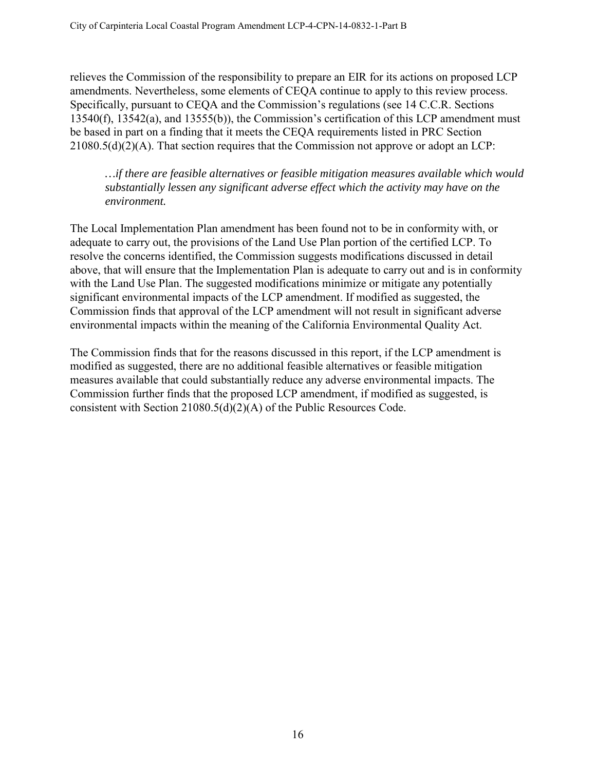relieves the Commission of the responsibility to prepare an EIR for its actions on proposed LCP amendments. Nevertheless, some elements of CEQA continue to apply to this review process. Specifically, pursuant to CEQA and the Commission's regulations (see 14 C.C.R. Sections 13540(f), 13542(a), and 13555(b)), the Commission's certification of this LCP amendment must be based in part on a finding that it meets the CEQA requirements listed in PRC Section 21080.5(d)(2)(A). That section requires that the Commission not approve or adopt an LCP:

*…if there are feasible alternatives or feasible mitigation measures available which would substantially lessen any significant adverse effect which the activity may have on the environment.* 

The Local Implementation Plan amendment has been found not to be in conformity with, or adequate to carry out, the provisions of the Land Use Plan portion of the certified LCP. To resolve the concerns identified, the Commission suggests modifications discussed in detail above, that will ensure that the Implementation Plan is adequate to carry out and is in conformity with the Land Use Plan. The suggested modifications minimize or mitigate any potentially significant environmental impacts of the LCP amendment. If modified as suggested, the Commission finds that approval of the LCP amendment will not result in significant adverse environmental impacts within the meaning of the California Environmental Quality Act.

The Commission finds that for the reasons discussed in this report, if the LCP amendment is modified as suggested, there are no additional feasible alternatives or feasible mitigation measures available that could substantially reduce any adverse environmental impacts. The Commission further finds that the proposed LCP amendment, if modified as suggested, is consistent with Section 21080.5(d)(2)(A) of the Public Resources Code.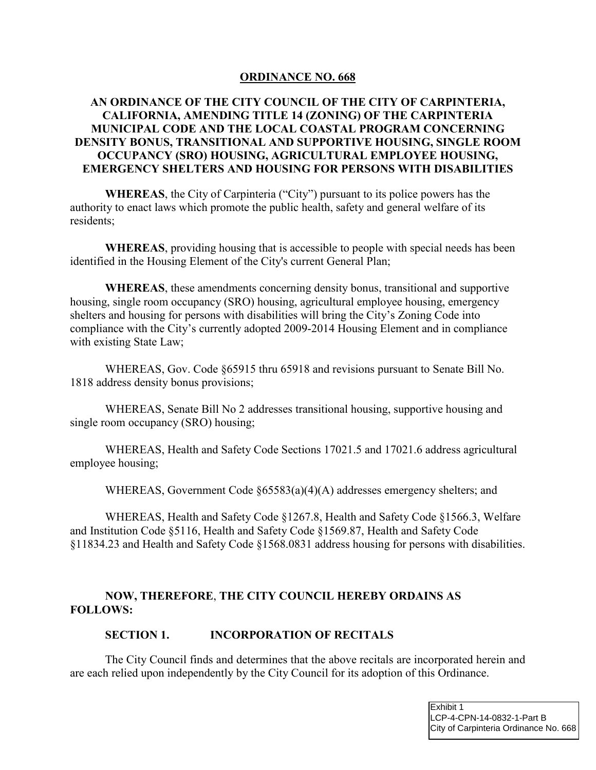#### **ORDINANCE NO. 668**

#### <span id="page-16-0"></span>**AN ORDINANCE OF THE CITY COUNCIL OF THE CITY OF CARPINTERIA, CALIFORNIA, AMENDING TITLE 14 (ZONING) OF THE CARPINTERIA MUNICIPAL CODE AND THE LOCAL COASTAL PROGRAM CONCERNING DENSITY BONUS, TRANSITIONAL AND SUPPORTIVE HOUSING, SINGLE ROOM OCCUPANCY (SRO) HOUSING, AGRICULTURAL EMPLOYEE HOUSING, EMERGENCY SHELTERS AND HOUSING FOR PERSONS WITH DISABILITIES**

**WHEREAS**, the City of Carpinteria ("City") pursuant to its police powers has the authority to enact laws which promote the public health, safety and general welfare of its residents;

**WHEREAS**, providing housing that is accessible to people with special needs has been identified in the Housing Element of the City's current General Plan;

**WHEREAS**, these amendments concerning density bonus, transitional and supportive housing, single room occupancy (SRO) housing, agricultural employee housing, emergency shelters and housing for persons with disabilities will bring the City's Zoning Code into compliance with the City's currently adopted 2009-2014 Housing Element and in compliance with existing State Law;

WHEREAS, Gov. Code §65915 thru 65918 and revisions pursuant to Senate Bill No. 1818 address density bonus provisions;

WHEREAS, Senate Bill No 2 addresses transitional housing, supportive housing and single room occupancy (SRO) housing;

WHEREAS, Health and Safety Code Sections 17021.5 and 17021.6 address agricultural employee housing;

WHEREAS, Government Code §65583(a)(4)(A) addresses emergency shelters; and

WHEREAS, Health and Safety Code §1267.8, Health and Safety Code §1566.3, Welfare and Institution Code §5116, Health and Safety Code §1569.87, Health and Safety Code §11834.23 and Health and Safety Code §1568.0831 address housing for persons with disabilities.

#### **NOW, THEREFORE**, **THE CITY COUNCIL HEREBY ORDAINS AS FOLLOWS:**

#### **SECTION 1. INCORPORATION OF RECITALS**

The City Council finds and determines that the above recitals are incorporated herein and are each relied upon independently by the City Council for its adoption of this Ordinance.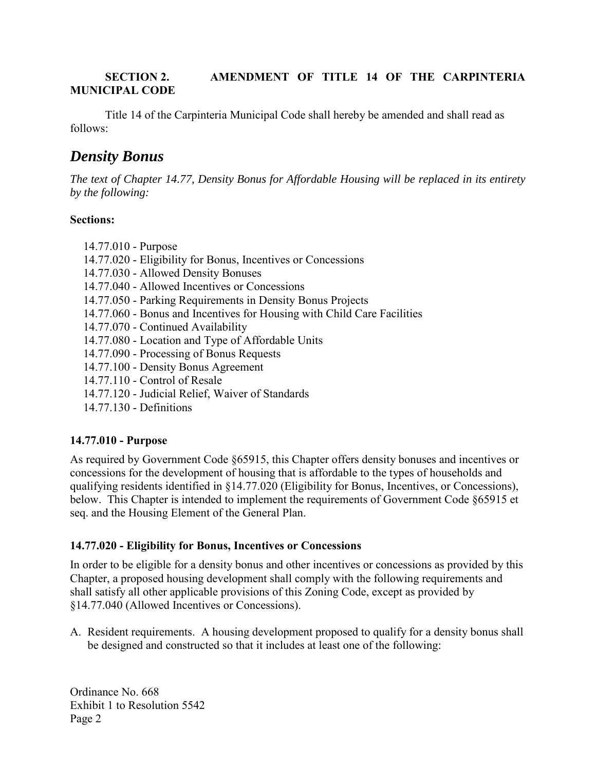#### **SECTION 2. AMENDMENT OF TITLE 14 OF THE CARPINTERIA MUNICIPAL CODE**

Title 14 of the Carpinteria Municipal Code shall hereby be amended and shall read as follows:

# *Density Bonus*

*The text of Chapter 14.77, Density Bonus for Affordable Housing will be replaced in its entirety by the following:* 

#### **Sections:**

- 14.77.010 Purpose
- 14.77.020 Eligibility for Bonus, Incentives or Concessions
- 14.77.030 Allowed Density Bonuses
- 14.77.040 Allowed Incentives or Concessions
- 14.77.050 Parking Requirements in Density Bonus Projects
- 14.77.060 Bonus and Incentives for Housing with Child Care Facilities
- 14.77.070 Continued Availability
- 14.77.080 Location and Type of Affordable Units
- 14.77.090 Processing of Bonus Requests
- 14.77.100 Density Bonus Agreement
- 14.77.110 Control of Resale
- 14.77.120 Judicial Relief, Waiver of Standards
- 14.77.130 Definitions

## **14.77.010 - Purpose**

As required by Government Code §65915, this Chapter offers density bonuses and incentives or concessions for the development of housing that is affordable to the types of households and qualifying residents identified in §14.77.020 (Eligibility for Bonus, Incentives, or Concessions), below. This Chapter is intended to implement the requirements of Government Code §65915 et seq. and the Housing Element of the General Plan.

## **14.77.020 - Eligibility for Bonus, Incentives or Concessions**

In order to be eligible for a density bonus and other incentives or concessions as provided by this Chapter, a proposed housing development shall comply with the following requirements and shall satisfy all other applicable provisions of this Zoning Code, except as provided by §14.77.040 (Allowed Incentives or Concessions).

A. Resident requirements. A housing development proposed to qualify for a density bonus shall be designed and constructed so that it includes at least one of the following: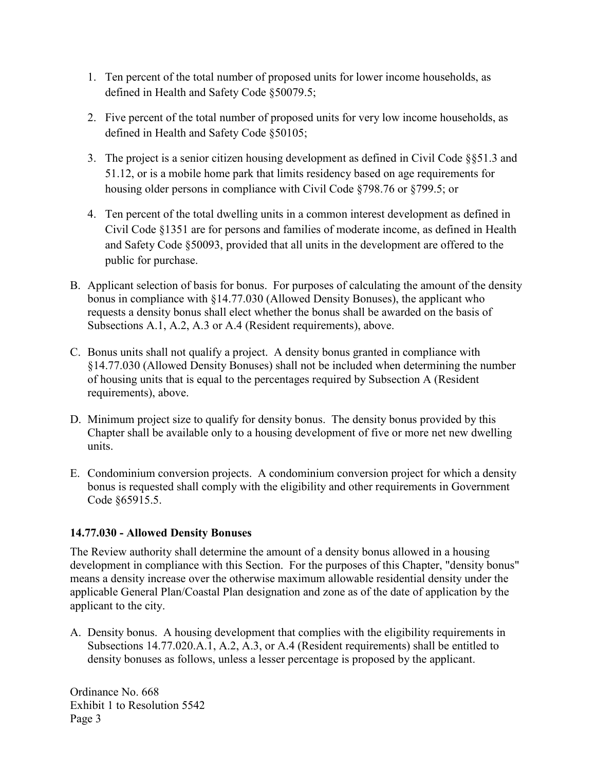- 1. Ten percent of the total number of proposed units for lower income households, as defined in Health and Safety Code §50079.5;
- 2. Five percent of the total number of proposed units for very low income households, as defined in Health and Safety Code §50105;
- 3. The project is a senior citizen housing development as defined in Civil Code §§51.3 and 51.12, or is a mobile home park that limits residency based on age requirements for housing older persons in compliance with Civil Code §798.76 or §799.5; or
- 4. Ten percent of the total dwelling units in a common interest development as defined in Civil Code §1351 are for persons and families of moderate income, as defined in Health and Safety Code §50093, provided that all units in the development are offered to the public for purchase.
- B. Applicant selection of basis for bonus. For purposes of calculating the amount of the density bonus in compliance with §14.77.030 (Allowed Density Bonuses), the applicant who requests a density bonus shall elect whether the bonus shall be awarded on the basis of Subsections A.1, A.2, A.3 or A.4 (Resident requirements), above.
- C. Bonus units shall not qualify a project. A density bonus granted in compliance with §14.77.030 (Allowed Density Bonuses) shall not be included when determining the number of housing units that is equal to the percentages required by Subsection A (Resident requirements), above.
- D. Minimum project size to qualify for density bonus. The density bonus provided by this Chapter shall be available only to a housing development of five or more net new dwelling units.
- E. Condominium conversion projects. A condominium conversion project for which a density bonus is requested shall comply with the eligibility and other requirements in Government Code §65915.5.

## **14.77.030 - Allowed Density Bonuses**

The Review authority shall determine the amount of a density bonus allowed in a housing development in compliance with this Section. For the purposes of this Chapter, "density bonus" means a density increase over the otherwise maximum allowable residential density under the applicable General Plan/Coastal Plan designation and zone as of the date of application by the applicant to the city.

A. Density bonus. A housing development that complies with the eligibility requirements in Subsections 14.77.020.A.1, A.2, A.3, or A.4 (Resident requirements) shall be entitled to density bonuses as follows, unless a lesser percentage is proposed by the applicant.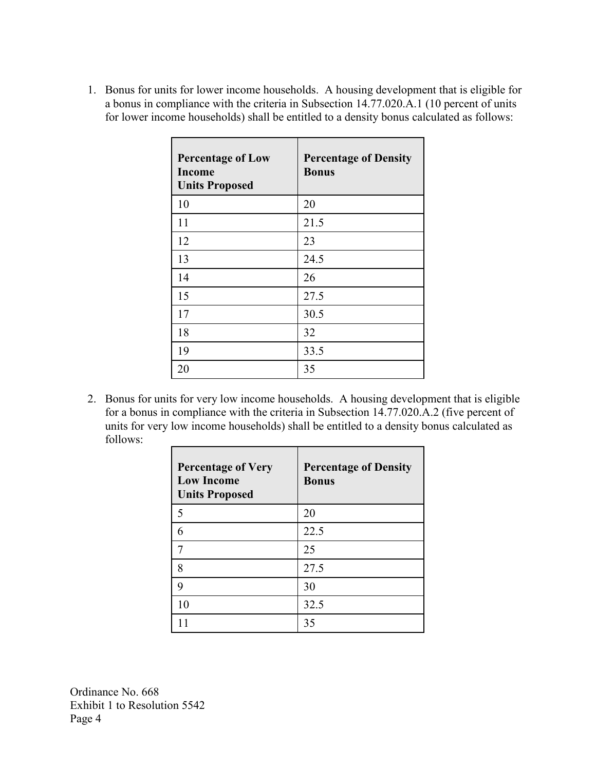1. Bonus for units for lower income households. A housing development that is eligible for a bonus in compliance with the criteria in Subsection 14.77.020.A.1 (10 percent of units for lower income households) shall be entitled to a density bonus calculated as follows:

| <b>Percentage of Low</b><br><b>Income</b><br><b>Units Proposed</b> | <b>Percentage of Density</b><br><b>Bonus</b> |
|--------------------------------------------------------------------|----------------------------------------------|
| 10                                                                 | 20                                           |
| 11                                                                 | 21.5                                         |
| 12                                                                 | 23                                           |
| 13                                                                 | 24.5                                         |
| 14                                                                 | 26                                           |
| 15                                                                 | 27.5                                         |
| 17                                                                 | 30.5                                         |
| 18                                                                 | 32                                           |
| 19                                                                 | 33.5                                         |
| 20                                                                 | 35                                           |

2. Bonus for units for very low income households. A housing development that is eligible for a bonus in compliance with the criteria in Subsection 14.77.020.A.2 (five percent of units for very low income households) shall be entitled to a density bonus calculated as follows:

| <b>Percentage of Very</b><br><b>Low Income</b><br><b>Units Proposed</b> | <b>Percentage of Density</b><br><b>Bonus</b> |
|-------------------------------------------------------------------------|----------------------------------------------|
| 5                                                                       | 20                                           |
| 6                                                                       | 22.5                                         |
| 7                                                                       | 25                                           |
| 8                                                                       | 27.5                                         |
| 9                                                                       | 30                                           |
| 10                                                                      | 32.5                                         |
|                                                                         | 35                                           |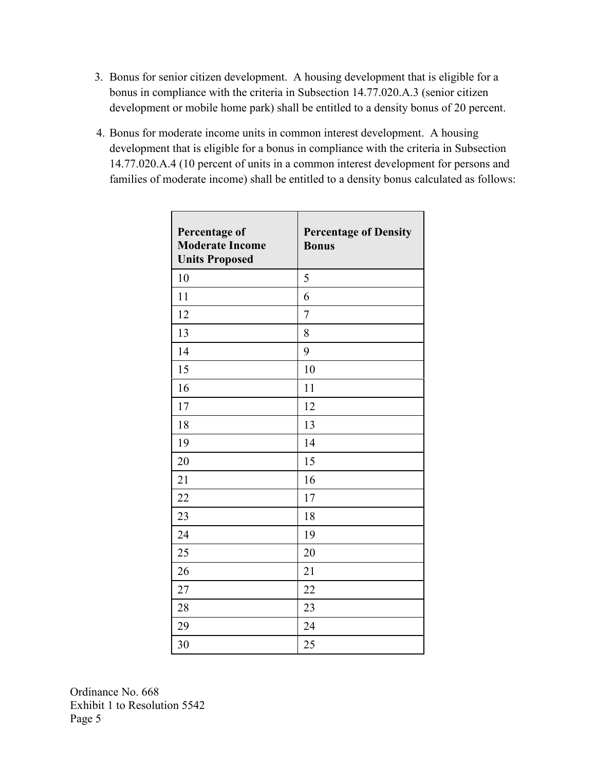- 3. Bonus for senior citizen development. A housing development that is eligible for a bonus in compliance with the criteria in Subsection 14.77.020.A.3 (senior citizen development or mobile home park) shall be entitled to a density bonus of 20 percent.
- 4. Bonus for moderate income units in common interest development. A housing development that is eligible for a bonus in compliance with the criteria in Subsection 14.77.020.A.4 (10 percent of units in a common interest development for persons and families of moderate income) shall be entitled to a density bonus calculated as follows:

| Percentage of<br><b>Moderate Income</b><br><b>Units Proposed</b> | <b>Percentage of Density</b><br><b>Bonus</b> |
|------------------------------------------------------------------|----------------------------------------------|
| 10                                                               | 5                                            |
| 11                                                               | 6                                            |
| 12                                                               | $\overline{7}$                               |
| 13                                                               | 8                                            |
| 14                                                               | 9                                            |
| 15                                                               | 10                                           |
| 16                                                               | 11                                           |
| 17                                                               | 12                                           |
| 18                                                               | 13                                           |
| 19                                                               | 14                                           |
| 20                                                               | 15                                           |
| 21                                                               | 16                                           |
| 22                                                               | 17                                           |
| 23                                                               | 18                                           |
| 24                                                               | 19                                           |
| 25                                                               | 20                                           |
| 26                                                               | 21                                           |
| 27                                                               | 22                                           |
| 28                                                               | 23                                           |
| 29                                                               | 24                                           |
| 30                                                               | 25                                           |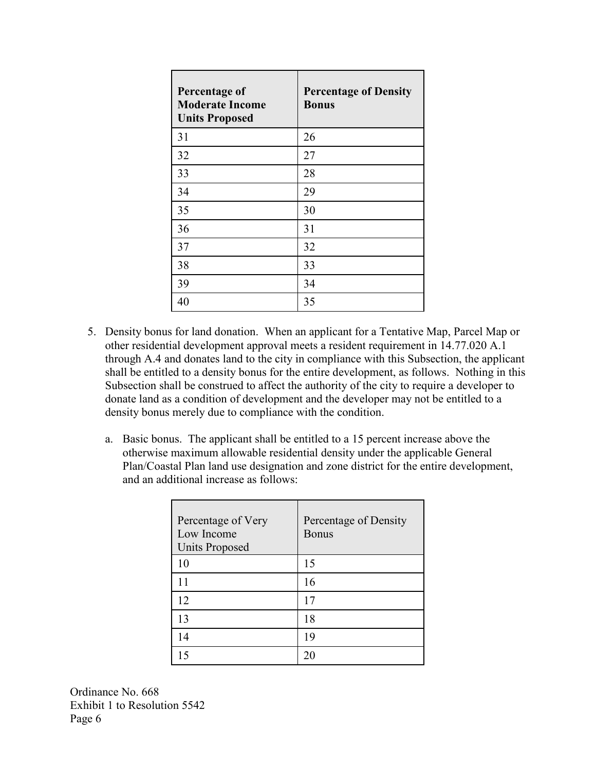| <b>Percentage of</b><br><b>Moderate Income</b><br><b>Units Proposed</b> | <b>Percentage of Density</b><br><b>Bonus</b> |
|-------------------------------------------------------------------------|----------------------------------------------|
| 31                                                                      | 26                                           |
| 32                                                                      | 27                                           |
| 33                                                                      | 28                                           |
| 34                                                                      | 29                                           |
| 35                                                                      | 30                                           |
| 36                                                                      | 31                                           |
| 37                                                                      | 32                                           |
| 38                                                                      | 33                                           |
| 39                                                                      | 34                                           |
| 40                                                                      | 35                                           |

- 5. Density bonus for land donation. When an applicant for a Tentative Map, Parcel Map or other residential development approval meets a resident requirement in 14.77.020 A.1 through A.4 and donates land to the city in compliance with this Subsection, the applicant shall be entitled to a density bonus for the entire development, as follows. Nothing in this Subsection shall be construed to affect the authority of the city to require a developer to donate land as a condition of development and the developer may not be entitled to a density bonus merely due to compliance with the condition.
	- a. Basic bonus. The applicant shall be entitled to a 15 percent increase above the otherwise maximum allowable residential density under the applicable General Plan/Coastal Plan land use designation and zone district for the entire development, and an additional increase as follows:

| Percentage of Very<br>Low Income<br><b>Units Proposed</b> | Percentage of Density<br><b>Bonus</b> |
|-----------------------------------------------------------|---------------------------------------|
| 10                                                        | 15                                    |
| 11                                                        | 16                                    |
| 12                                                        | 17                                    |
| 13                                                        | 18                                    |
| 14                                                        | 19                                    |
| 15                                                        | $\mathfrak{D}$                        |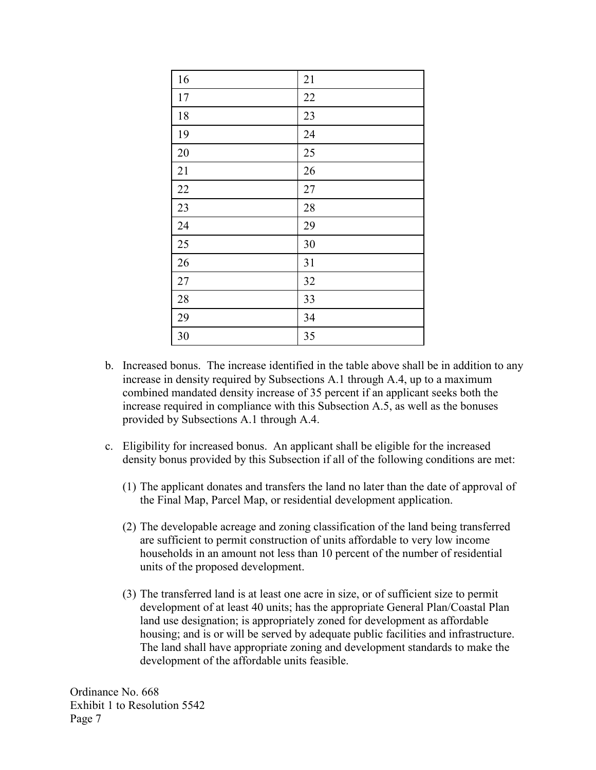| 16     | 21     |
|--------|--------|
| $17\,$ | 22     |
| 18     | 23     |
| 19     | 24     |
| 20     | 25     |
| 21     | 26     |
| 22     | $27\,$ |
| 23     | 28     |
| 24     | 29     |
| 25     | 30     |
| 26     | 31     |
| $27\,$ | 32     |
| 28     | 33     |
| 29     | 34     |
| 30     | 35     |

- b. Increased bonus. The increase identified in the table above shall be in addition to any increase in density required by Subsections A.1 through A.4, up to a maximum combined mandated density increase of 35 percent if an applicant seeks both the increase required in compliance with this Subsection A.5, as well as the bonuses provided by Subsections A.1 through A.4.
- c. Eligibility for increased bonus. An applicant shall be eligible for the increased density bonus provided by this Subsection if all of the following conditions are met:
	- (1) The applicant donates and transfers the land no later than the date of approval of the Final Map, Parcel Map, or residential development application.
	- (2) The developable acreage and zoning classification of the land being transferred are sufficient to permit construction of units affordable to very low income households in an amount not less than 10 percent of the number of residential units of the proposed development.
	- (3) The transferred land is at least one acre in size, or of sufficient size to permit development of at least 40 units; has the appropriate General Plan/Coastal Plan land use designation; is appropriately zoned for development as affordable housing; and is or will be served by adequate public facilities and infrastructure. The land shall have appropriate zoning and development standards to make the development of the affordable units feasible.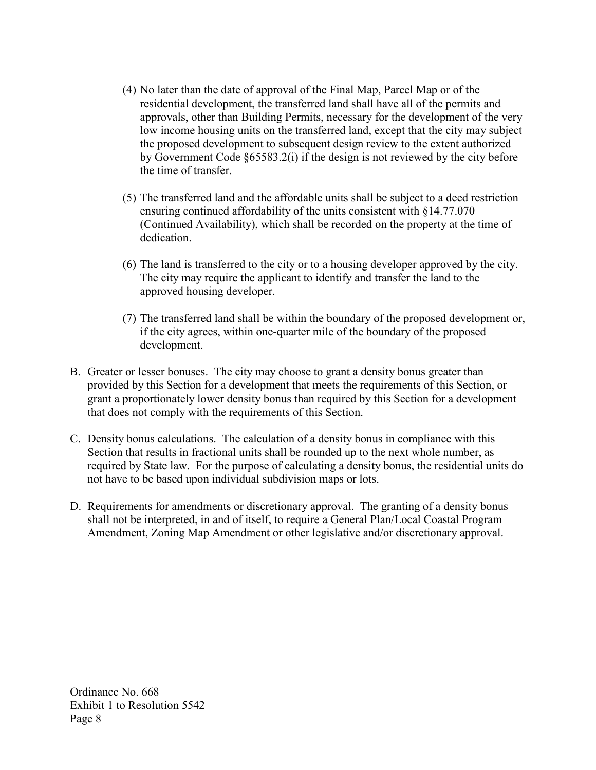- (4) No later than the date of approval of the Final Map, Parcel Map or of the residential development, the transferred land shall have all of the permits and approvals, other than Building Permits, necessary for the development of the very low income housing units on the transferred land, except that the city may subject the proposed development to subsequent design review to the extent authorized by Government Code §65583.2(i) if the design is not reviewed by the city before the time of transfer.
- (5) The transferred land and the affordable units shall be subject to a deed restriction ensuring continued affordability of the units consistent with §14.77.070 (Continued Availability), which shall be recorded on the property at the time of dedication.
- (6) The land is transferred to the city or to a housing developer approved by the city. The city may require the applicant to identify and transfer the land to the approved housing developer.
- (7) The transferred land shall be within the boundary of the proposed development or, if the city agrees, within one-quarter mile of the boundary of the proposed development.
- B. Greater or lesser bonuses. The city may choose to grant a density bonus greater than provided by this Section for a development that meets the requirements of this Section, or grant a proportionately lower density bonus than required by this Section for a development that does not comply with the requirements of this Section.
- C. Density bonus calculations. The calculation of a density bonus in compliance with this Section that results in fractional units shall be rounded up to the next whole number, as required by State law. For the purpose of calculating a density bonus, the residential units do not have to be based upon individual subdivision maps or lots.
- D. Requirements for amendments or discretionary approval. The granting of a density bonus shall not be interpreted, in and of itself, to require a General Plan/Local Coastal Program Amendment, Zoning Map Amendment or other legislative and/or discretionary approval.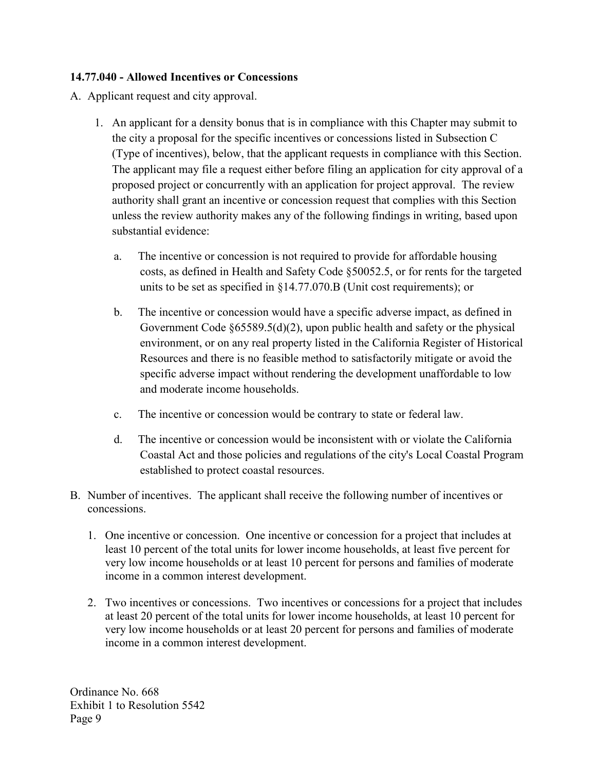#### **14.77.040 - Allowed Incentives or Concessions**

A. Applicant request and city approval.

- 1. An applicant for a density bonus that is in compliance with this Chapter may submit to the city a proposal for the specific incentives or concessions listed in Subsection C (Type of incentives), below, that the applicant requests in compliance with this Section. The applicant may file a request either before filing an application for city approval of a proposed project or concurrently with an application for project approval. The review authority shall grant an incentive or concession request that complies with this Section unless the review authority makes any of the following findings in writing, based upon substantial evidence:
	- a. The incentive or concession is not required to provide for affordable housing costs, as defined in Health and Safety Code §50052.5, or for rents for the targeted units to be set as specified in §14.77.070.B (Unit cost requirements); or
	- b. The incentive or concession would have a specific adverse impact, as defined in Government Code §65589.5(d)(2), upon public health and safety or the physical environment, or on any real property listed in the California Register of Historical Resources and there is no feasible method to satisfactorily mitigate or avoid the specific adverse impact without rendering the development unaffordable to low and moderate income households.
	- c. The incentive or concession would be contrary to state or federal law.
	- d. The incentive or concession would be inconsistent with or violate the California Coastal Act and those policies and regulations of the city's Local Coastal Program established to protect coastal resources.
- B. Number of incentives. The applicant shall receive the following number of incentives or concessions.
	- 1. One incentive or concession. One incentive or concession for a project that includes at least 10 percent of the total units for lower income households, at least five percent for very low income households or at least 10 percent for persons and families of moderate income in a common interest development.
	- 2. Two incentives or concessions. Two incentives or concessions for a project that includes at least 20 percent of the total units for lower income households, at least 10 percent for very low income households or at least 20 percent for persons and families of moderate income in a common interest development.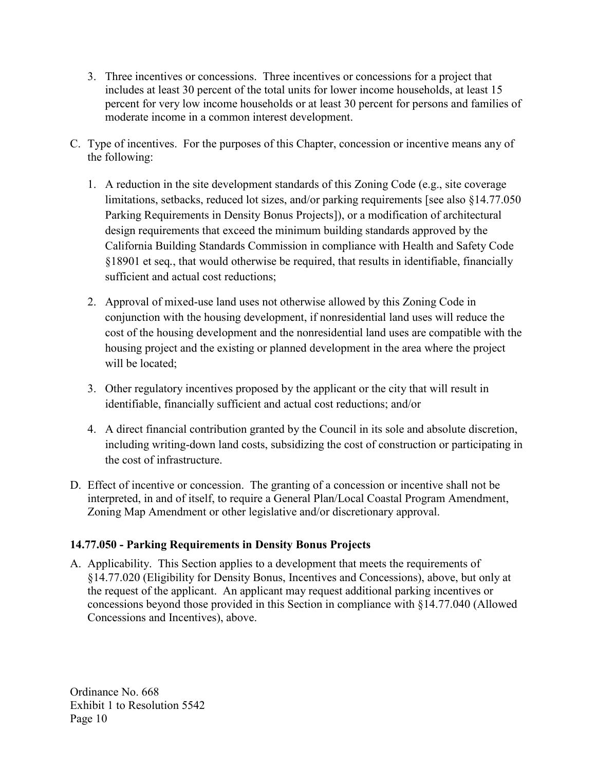- 3. Three incentives or concessions. Three incentives or concessions for a project that includes at least 30 percent of the total units for lower income households, at least 15 percent for very low income households or at least 30 percent for persons and families of moderate income in a common interest development.
- C. Type of incentives. For the purposes of this Chapter, concession or incentive means any of the following:
	- 1. A reduction in the site development standards of this Zoning Code (e.g., site coverage limitations, setbacks, reduced lot sizes, and/or parking requirements [see also §14.77.050 Parking Requirements in Density Bonus Projects]), or a modification of architectural design requirements that exceed the minimum building standards approved by the California Building Standards Commission in compliance with Health and Safety Code §18901 et seq*.*, that would otherwise be required, that results in identifiable, financially sufficient and actual cost reductions;
	- 2. Approval of mixed-use land uses not otherwise allowed by this Zoning Code in conjunction with the housing development, if nonresidential land uses will reduce the cost of the housing development and the nonresidential land uses are compatible with the housing project and the existing or planned development in the area where the project will be located;
	- 3. Other regulatory incentives proposed by the applicant or the city that will result in identifiable, financially sufficient and actual cost reductions; and/or
	- 4. A direct financial contribution granted by the Council in its sole and absolute discretion, including writing-down land costs, subsidizing the cost of construction or participating in the cost of infrastructure.
- D. Effect of incentive or concession. The granting of a concession or incentive shall not be interpreted, in and of itself, to require a General Plan/Local Coastal Program Amendment, Zoning Map Amendment or other legislative and/or discretionary approval.

## **14.77.050 - Parking Requirements in Density Bonus Projects**

A. Applicability. This Section applies to a development that meets the requirements of §14.77.020 (Eligibility for Density Bonus, Incentives and Concessions), above, but only at the request of the applicant. An applicant may request additional parking incentives or concessions beyond those provided in this Section in compliance with §14.77.040 (Allowed Concessions and Incentives), above.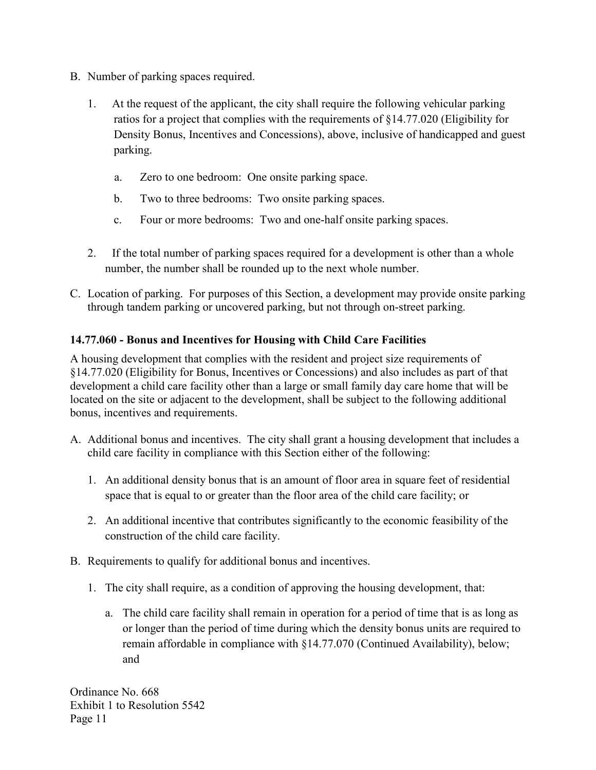- B. Number of parking spaces required.
	- 1. At the request of the applicant, the city shall require the following vehicular parking ratios for a project that complies with the requirements of §14.77.020 (Eligibility for Density Bonus, Incentives and Concessions), above, inclusive of handicapped and guest parking.
		- a. Zero to one bedroom: One onsite parking space.
		- b. Two to three bedrooms: Two onsite parking spaces.
		- c. Four or more bedrooms: Two and one-half onsite parking spaces.
	- 2. If the total number of parking spaces required for a development is other than a whole number, the number shall be rounded up to the next whole number.
- C. Location of parking. For purposes of this Section, a development may provide onsite parking through tandem parking or uncovered parking, but not through on-street parking.

## **14.77.060 - Bonus and Incentives for Housing with Child Care Facilities**

A housing development that complies with the resident and project size requirements of §14.77.020 (Eligibility for Bonus, Incentives or Concessions) and also includes as part of that development a child care facility other than a large or small family day care home that will be located on the site or adjacent to the development, shall be subject to the following additional bonus, incentives and requirements.

- A. Additional bonus and incentives. The city shall grant a housing development that includes a child care facility in compliance with this Section either of the following:
	- 1. An additional density bonus that is an amount of floor area in square feet of residential space that is equal to or greater than the floor area of the child care facility; or
	- 2. An additional incentive that contributes significantly to the economic feasibility of the construction of the child care facility.
- B. Requirements to qualify for additional bonus and incentives.
	- 1. The city shall require, as a condition of approving the housing development, that:
		- a. The child care facility shall remain in operation for a period of time that is as long as or longer than the period of time during which the density bonus units are required to remain affordable in compliance with §14.77.070 (Continued Availability), below; and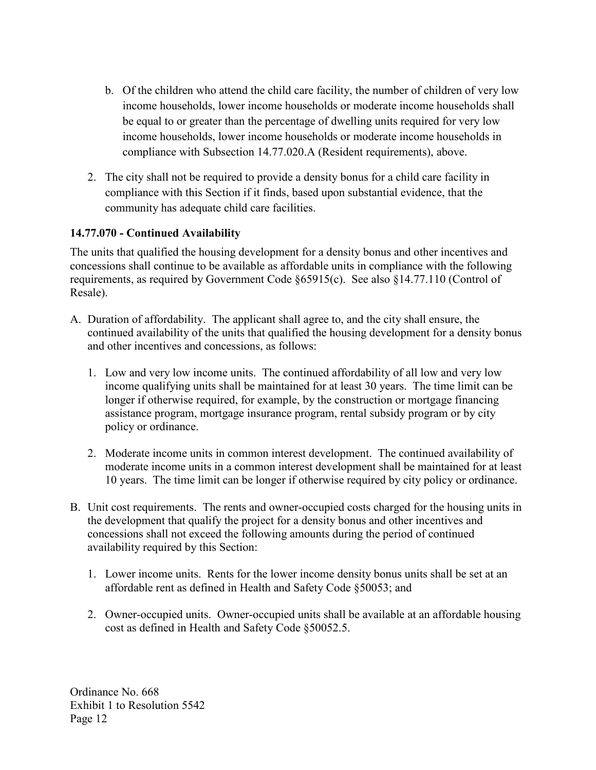- b. Of the children who attend the child care facility, the number of children of very low income households, lower income households or moderate income households shall be equal to or greater than the percentage of dwelling units required for very low income households, lower income households or moderate income households in compliance with Subsection 14.77.020.A (Resident requirements), above.
- 2. The city shall not be required to provide a density bonus for a child care facility in compliance with this Section if it finds, based upon substantial evidence, that the community has adequate child care facilities.

## **14.77.070 - Continued Availability**

The units that qualified the housing development for a density bonus and other incentives and concessions shall continue to be available as affordable units in compliance with the following requirements, as required by Government Code §65915(c). See also §14.77.110 (Control of Resale).

- A. Duration of affordability. The applicant shall agree to, and the city shall ensure, the continued availability of the units that qualified the housing development for a density bonus and other incentives and concessions, as follows:
	- 1. Low and very low income units. The continued affordability of all low and very low income qualifying units shall be maintained for at least 30 years. The time limit can be longer if otherwise required, for example, by the construction or mortgage financing assistance program, mortgage insurance program, rental subsidy program or by city policy or ordinance.
	- 2. Moderate income units in common interest development. The continued availability of moderate income units in a common interest development shall be maintained for at least 10 years. The time limit can be longer if otherwise required by city policy or ordinance.
- B. Unit cost requirements. The rents and owner-occupied costs charged for the housing units in the development that qualify the project for a density bonus and other incentives and concessions shall not exceed the following amounts during the period of continued availability required by this Section:
	- 1. Lower income units. Rents for the lower income density bonus units shall be set at an affordable rent as defined in Health and Safety Code §50053; and
	- 2. Owner-occupied units. Owner-occupied units shall be available at an affordable housing cost as defined in Health and Safety Code §50052.5.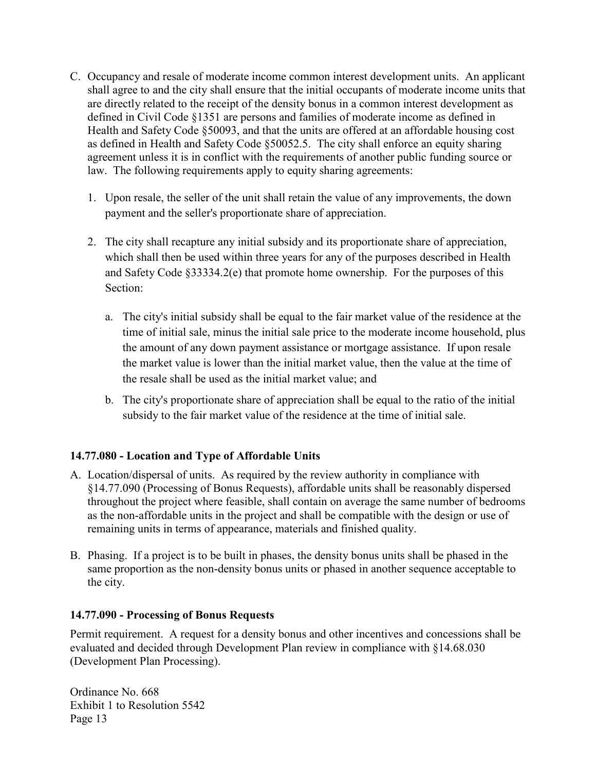- C. Occupancy and resale of moderate income common interest development units. An applicant shall agree to and the city shall ensure that the initial occupants of moderate income units that are directly related to the receipt of the density bonus in a common interest development as defined in Civil Code §1351 are persons and families of moderate income as defined in Health and Safety Code §50093, and that the units are offered at an affordable housing cost as defined in Health and Safety Code §50052.5. The city shall enforce an equity sharing agreement unless it is in conflict with the requirements of another public funding source or law. The following requirements apply to equity sharing agreements:
	- 1. Upon resale, the seller of the unit shall retain the value of any improvements, the down payment and the seller's proportionate share of appreciation.
	- 2. The city shall recapture any initial subsidy and its proportionate share of appreciation, which shall then be used within three years for any of the purposes described in Health and Safety Code §33334.2(e) that promote home ownership. For the purposes of this Section:
		- a. The city's initial subsidy shall be equal to the fair market value of the residence at the time of initial sale, minus the initial sale price to the moderate income household, plus the amount of any down payment assistance or mortgage assistance. If upon resale the market value is lower than the initial market value, then the value at the time of the resale shall be used as the initial market value; and
		- b. The city's proportionate share of appreciation shall be equal to the ratio of the initial subsidy to the fair market value of the residence at the time of initial sale.

## **14.77.080 - Location and Type of Affordable Units**

- A. Location/dispersal of units. As required by the review authority in compliance with §14.77.090 (Processing of Bonus Requests), affordable units shall be reasonably dispersed throughout the project where feasible, shall contain on average the same number of bedrooms as the non-affordable units in the project and shall be compatible with the design or use of remaining units in terms of appearance, materials and finished quality.
- B. Phasing. If a project is to be built in phases, the density bonus units shall be phased in the same proportion as the non-density bonus units or phased in another sequence acceptable to the city.

#### **14.77.090 - Processing of Bonus Requests**

Permit requirement. A request for a density bonus and other incentives and concessions shall be evaluated and decided through Development Plan review in compliance with §14.68.030 (Development Plan Processing).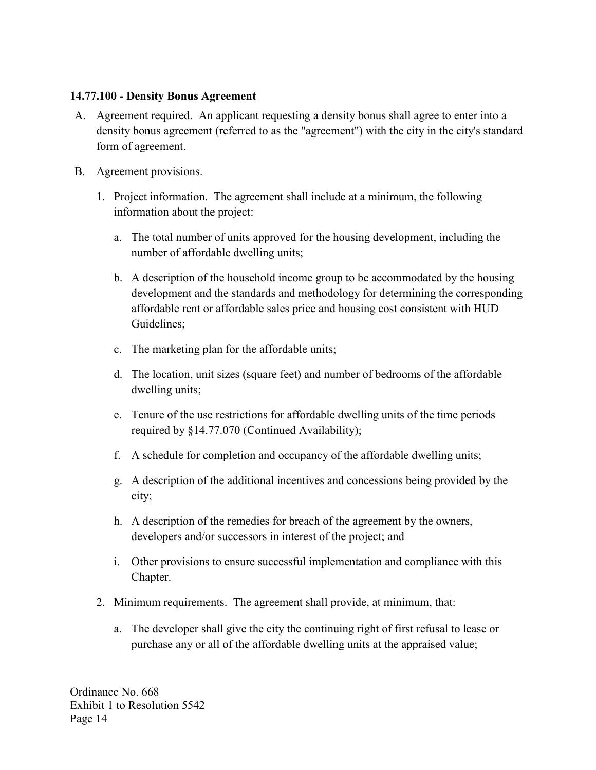#### **14.77.100 - Density Bonus Agreement**

- A. Agreement required. An applicant requesting a density bonus shall agree to enter into a density bonus agreement (referred to as the "agreement") with the city in the city's standard form of agreement.
- B. Agreement provisions.
	- 1. Project information. The agreement shall include at a minimum, the following information about the project:
		- a. The total number of units approved for the housing development, including the number of affordable dwelling units;
		- b. A description of the household income group to be accommodated by the housing development and the standards and methodology for determining the corresponding affordable rent or affordable sales price and housing cost consistent with HUD Guidelines;
		- c. The marketing plan for the affordable units;
		- d. The location, unit sizes (square feet) and number of bedrooms of the affordable dwelling units;
		- e. Tenure of the use restrictions for affordable dwelling units of the time periods required by §14.77.070 (Continued Availability);
		- f. A schedule for completion and occupancy of the affordable dwelling units;
		- g. A description of the additional incentives and concessions being provided by the city;
		- h. A description of the remedies for breach of the agreement by the owners, developers and/or successors in interest of the project; and
		- i. Other provisions to ensure successful implementation and compliance with this Chapter.
	- 2. Minimum requirements. The agreement shall provide, at minimum, that:
		- a. The developer shall give the city the continuing right of first refusal to lease or purchase any or all of the affordable dwelling units at the appraised value;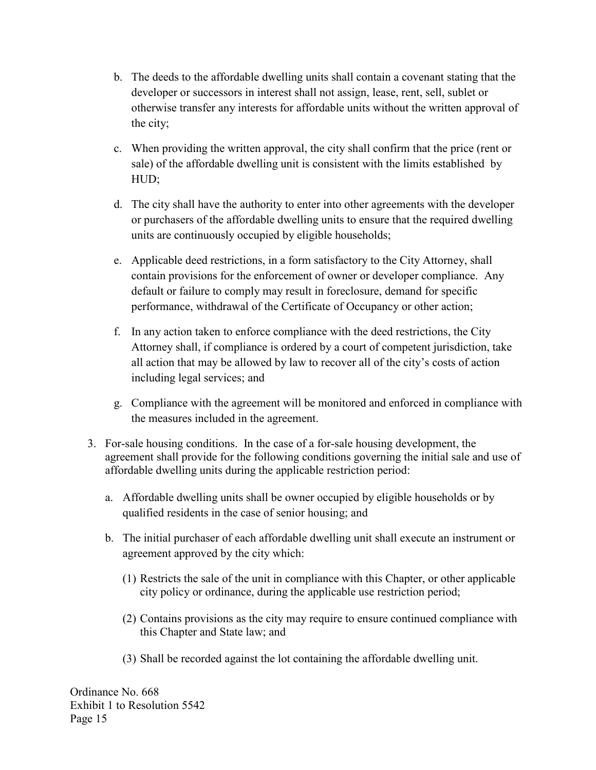- b. The deeds to the affordable dwelling units shall contain a covenant stating that the developer or successors in interest shall not assign, lease, rent, sell, sublet or otherwise transfer any interests for affordable units without the written approval of the city;
- c. When providing the written approval, the city shall confirm that the price (rent or sale) of the affordable dwelling unit is consistent with the limits established by HUD;
- d. The city shall have the authority to enter into other agreements with the developer or purchasers of the affordable dwelling units to ensure that the required dwelling units are continuously occupied by eligible households;
- e. Applicable deed restrictions, in a form satisfactory to the City Attorney, shall contain provisions for the enforcement of owner or developer compliance. Any default or failure to comply may result in foreclosure, demand for specific performance, withdrawal of the Certificate of Occupancy or other action;
- f. In any action taken to enforce compliance with the deed restrictions, the City Attorney shall, if compliance is ordered by a court of competent jurisdiction, take all action that may be allowed by law to recover all of the city's costs of action including legal services; and
- g. Compliance with the agreement will be monitored and enforced in compliance with the measures included in the agreement.
- 3. For-sale housing conditions. In the case of a for-sale housing development, the agreement shall provide for the following conditions governing the initial sale and use of affordable dwelling units during the applicable restriction period:
	- a. Affordable dwelling units shall be owner occupied by eligible households or by qualified residents in the case of senior housing; and
	- b. The initial purchaser of each affordable dwelling unit shall execute an instrument or agreement approved by the city which:
		- (1) Restricts the sale of the unit in compliance with this Chapter, or other applicable city policy or ordinance, during the applicable use restriction period;
		- (2) Contains provisions as the city may require to ensure continued compliance with this Chapter and State law; and
		- (3) Shall be recorded against the lot containing the affordable dwelling unit.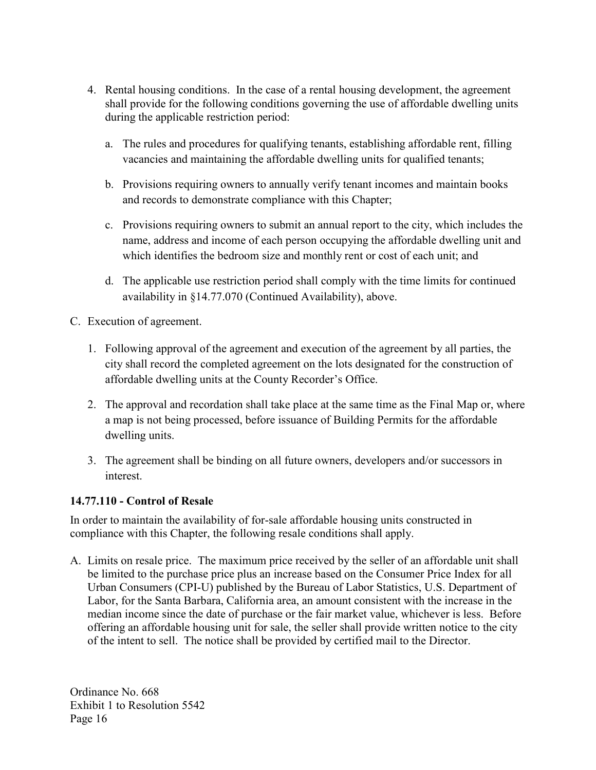- 4. Rental housing conditions. In the case of a rental housing development, the agreement shall provide for the following conditions governing the use of affordable dwelling units during the applicable restriction period:
	- a. The rules and procedures for qualifying tenants, establishing affordable rent, filling vacancies and maintaining the affordable dwelling units for qualified tenants;
	- b. Provisions requiring owners to annually verify tenant incomes and maintain books and records to demonstrate compliance with this Chapter;
	- c. Provisions requiring owners to submit an annual report to the city, which includes the name, address and income of each person occupying the affordable dwelling unit and which identifies the bedroom size and monthly rent or cost of each unit; and
	- d. The applicable use restriction period shall comply with the time limits for continued availability in §14.77.070 (Continued Availability), above.
- C. Execution of agreement.
	- 1. Following approval of the agreement and execution of the agreement by all parties, the city shall record the completed agreement on the lots designated for the construction of affordable dwelling units at the County Recorder's Office.
	- 2. The approval and recordation shall take place at the same time as the Final Map or, where a map is not being processed, before issuance of Building Permits for the affordable dwelling units.
	- 3. The agreement shall be binding on all future owners, developers and/or successors in interest.

## **14.77.110 - Control of Resale**

In order to maintain the availability of for-sale affordable housing units constructed in compliance with this Chapter, the following resale conditions shall apply.

A. Limits on resale price. The maximum price received by the seller of an affordable unit shall be limited to the purchase price plus an increase based on the Consumer Price Index for all Urban Consumers (CPI-U) published by the Bureau of Labor Statistics, U.S. Department of Labor, for the Santa Barbara, California area, an amount consistent with the increase in the median income since the date of purchase or the fair market value, whichever is less. Before offering an affordable housing unit for sale, the seller shall provide written notice to the city of the intent to sell. The notice shall be provided by certified mail to the Director.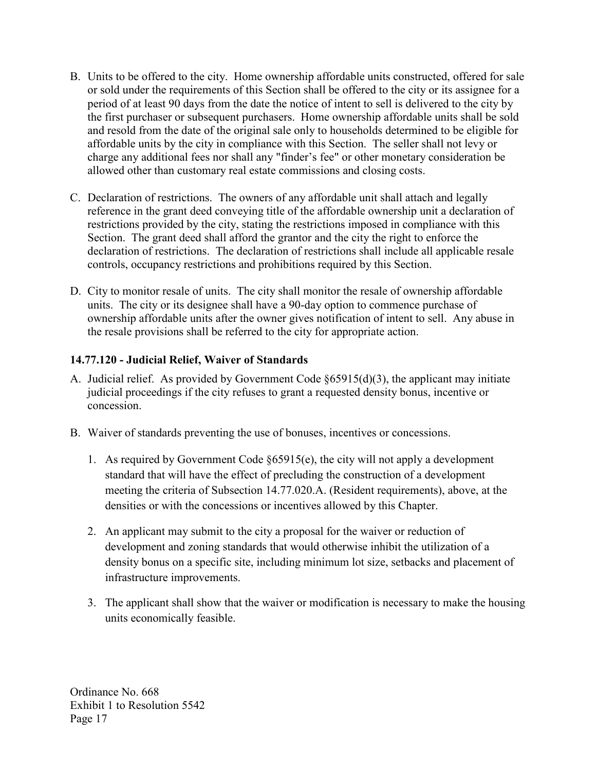- B. Units to be offered to the city. Home ownership affordable units constructed, offered for sale or sold under the requirements of this Section shall be offered to the city or its assignee for a period of at least 90 days from the date the notice of intent to sell is delivered to the city by the first purchaser or subsequent purchasers. Home ownership affordable units shall be sold and resold from the date of the original sale only to households determined to be eligible for affordable units by the city in compliance with this Section. The seller shall not levy or charge any additional fees nor shall any "finder's fee" or other monetary consideration be allowed other than customary real estate commissions and closing costs.
- C. Declaration of restrictions. The owners of any affordable unit shall attach and legally reference in the grant deed conveying title of the affordable ownership unit a declaration of restrictions provided by the city, stating the restrictions imposed in compliance with this Section. The grant deed shall afford the grantor and the city the right to enforce the declaration of restrictions. The declaration of restrictions shall include all applicable resale controls, occupancy restrictions and prohibitions required by this Section.
- D. City to monitor resale of units. The city shall monitor the resale of ownership affordable units. The city or its designee shall have a 90-day option to commence purchase of ownership affordable units after the owner gives notification of intent to sell. Any abuse in the resale provisions shall be referred to the city for appropriate action.

#### **14.77.120 - Judicial Relief, Waiver of Standards**

- A. Judicial relief. As provided by Government Code §65915(d)(3), the applicant may initiate judicial proceedings if the city refuses to grant a requested density bonus, incentive or concession.
- B. Waiver of standards preventing the use of bonuses, incentives or concessions.
	- 1. As required by Government Code §65915(e), the city will not apply a development standard that will have the effect of precluding the construction of a development meeting the criteria of Subsection 14.77.020.A. (Resident requirements), above, at the densities or with the concessions or incentives allowed by this Chapter.
	- 2. An applicant may submit to the city a proposal for the waiver or reduction of development and zoning standards that would otherwise inhibit the utilization of a density bonus on a specific site, including minimum lot size, setbacks and placement of infrastructure improvements.
	- 3. The applicant shall show that the waiver or modification is necessary to make the housing units economically feasible.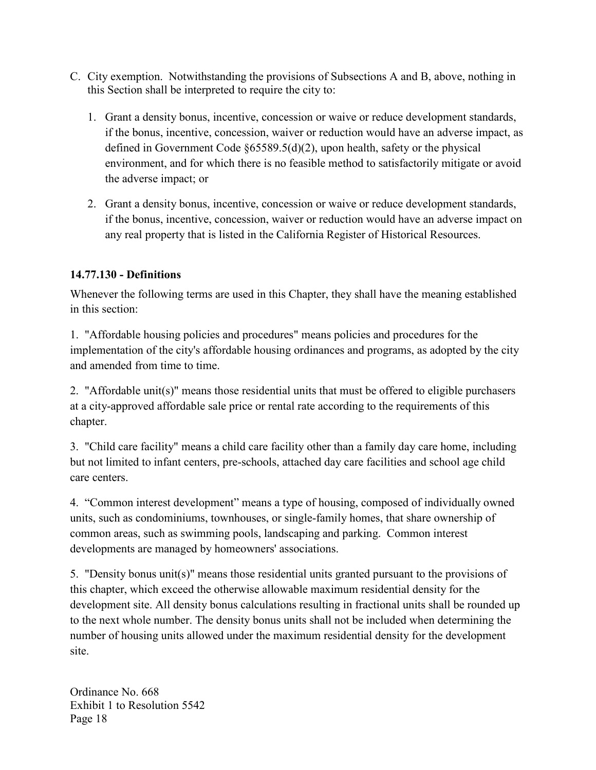- C. City exemption. Notwithstanding the provisions of Subsections A and B, above, nothing in this Section shall be interpreted to require the city to:
	- 1. Grant a density bonus, incentive, concession or waive or reduce development standards, if the bonus, incentive, concession, waiver or reduction would have an adverse impact, as defined in Government Code §65589.5(d)(2), upon health, safety or the physical environment, and for which there is no feasible method to satisfactorily mitigate or avoid the adverse impact; or
	- 2. Grant a density bonus, incentive, concession or waive or reduce development standards, if the bonus, incentive, concession, waiver or reduction would have an adverse impact on any real property that is listed in the California Register of Historical Resources.

## **14.77.130 - Definitions**

Whenever the following terms are used in this Chapter, they shall have the meaning established in this section:

1. "Affordable housing policies and procedures" means policies and procedures for the implementation of the city's affordable housing ordinances and programs, as adopted by the city and amended from time to time.

2. "Affordable unit(s)" means those residential units that must be offered to eligible purchasers at a city-approved affordable sale price or rental rate according to the requirements of this chapter.

3. "Child care facility" means a child care facility other than a family day care home, including but not limited to infant centers, pre-schools, attached day care facilities and school age child care centers.

4. "Common interest development" means a type of housing, composed of individually owned units, such as condominiums, townhouses, or single-family homes, that share ownership of common areas, such as swimming pools, landscaping and parking. Common interest developments are managed by homeowners' associations.

5. "Density bonus unit(s)" means those residential units granted pursuant to the provisions of this chapter, which exceed the otherwise allowable maximum residential density for the development site. All density bonus calculations resulting in fractional units shall be rounded up to the next whole number. The density bonus units shall not be included when determining the number of housing units allowed under the maximum residential density for the development site.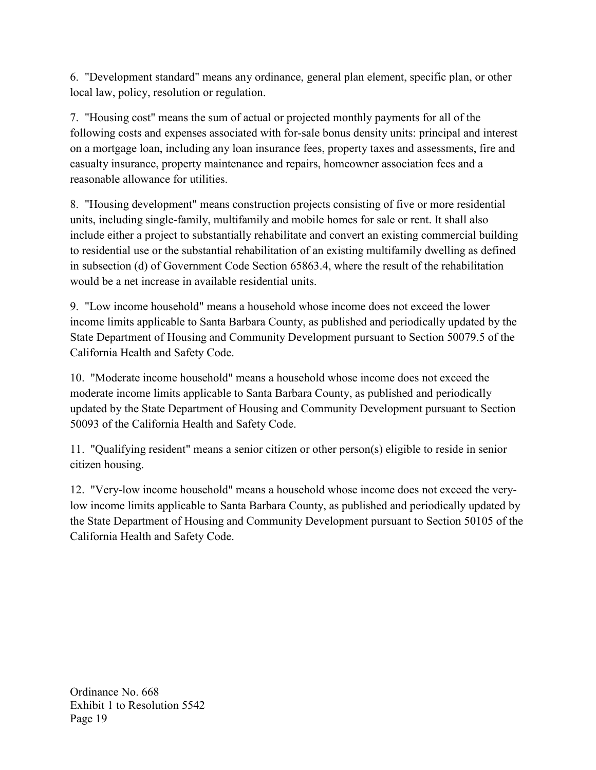6. "Development standard" means any ordinance, general plan element, specific plan, or other local law, policy, resolution or regulation.

7. "Housing cost" means the sum of actual or projected monthly payments for all of the following costs and expenses associated with for-sale bonus density units: principal and interest on a mortgage loan, including any loan insurance fees, property taxes and assessments, fire and casualty insurance, property maintenance and repairs, homeowner association fees and a reasonable allowance for utilities.

8. "Housing development" means construction projects consisting of five or more residential units, including single-family, multifamily and mobile homes for sale or rent. It shall also include either a project to substantially rehabilitate and convert an existing commercial building to residential use or the substantial rehabilitation of an existing multifamily dwelling as defined in subsection (d) of Government Code Section 65863.4, where the result of the rehabilitation would be a net increase in available residential units.

9. "Low income household" means a household whose income does not exceed the lower income limits applicable to Santa Barbara County, as published and periodically updated by the State Department of Housing and Community Development pursuant to Section 50079.5 of the California Health and Safety Code.

10. "Moderate income household" means a household whose income does not exceed the moderate income limits applicable to Santa Barbara County, as published and periodically updated by the State Department of Housing and Community Development pursuant to Section 50093 of the California Health and Safety Code.

11. "Qualifying resident" means a senior citizen or other person(s) eligible to reside in senior citizen housing.

12. "Very-low income household" means a household whose income does not exceed the verylow income limits applicable to Santa Barbara County, as published and periodically updated by the State Department of Housing and Community Development pursuant to Section 50105 of the California Health and Safety Code.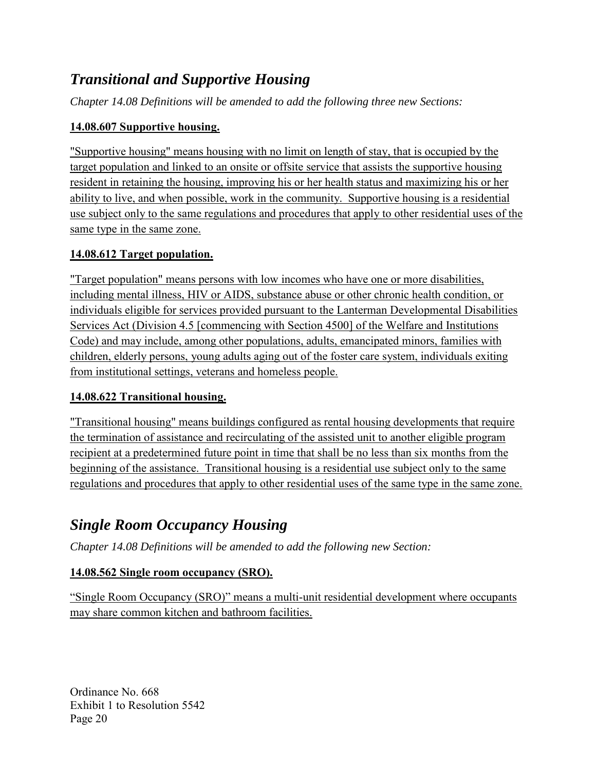# *Transitional and Supportive Housing*

*Chapter 14.08 Definitions will be amended to add the following three new Sections:*

## **14.08.607 Supportive housing.**

"Supportive housing" means housing with no limit on length of stay, that is occupied by the target population and linked to an onsite or offsite service that assists the supportive housing resident in retaining the housing, improving his or her health status and maximizing his or her ability to live, and when possible, work in the community. Supportive housing is a residential use subject only to the same regulations and procedures that apply to other residential uses of the same type in the same zone.

## **14.08.612 Target population.**

"Target population" means persons with low incomes who have one or more disabilities, including mental illness, HIV or AIDS, substance abuse or other chronic health condition, or individuals eligible for services provided pursuant to the Lanterman Developmental Disabilities Services Act (Division 4.5 [commencing with Section 4500] of the Welfare and Institutions Code) and may include, among other populations, adults, emancipated minors, families with children, elderly persons, young adults aging out of the foster care system, individuals exiting from institutional settings, veterans and homeless people.

## **14.08.622 Transitional housing.**

"Transitional housing" means buildings configured as rental housing developments that require the termination of assistance and recirculating of the assisted unit to another eligible program recipient at a predetermined future point in time that shall be no less than six months from the beginning of the assistance. Transitional housing is a residential use subject only to the same regulations and procedures that apply to other residential uses of the same type in the same zone.

# *Single Room Occupancy Housing*

*Chapter 14.08 Definitions will be amended to add the following new Section:*

# **14.08.562 Single room occupancy (SRO).**

"Single Room Occupancy (SRO)" means a multi-unit residential development where occupants may share common kitchen and bathroom facilities.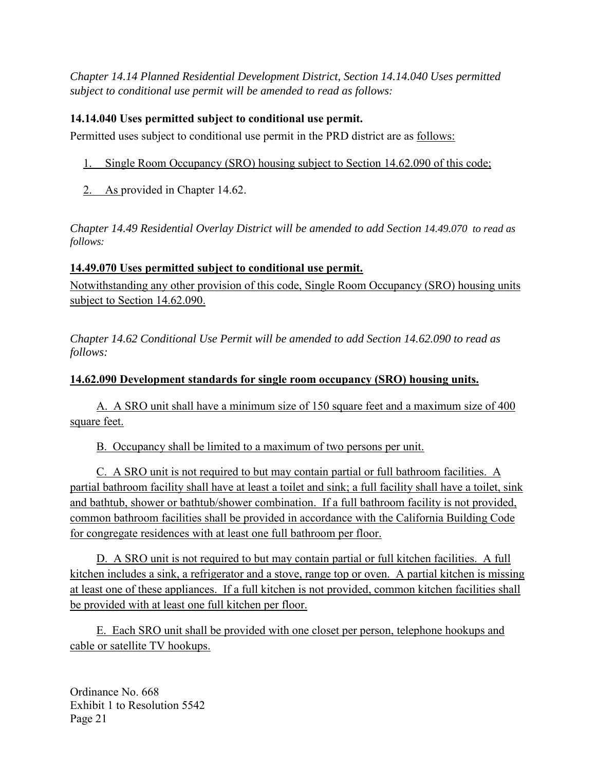*Chapter 14.14 Planned Residential Development District, Section 14.14.040 Uses permitted subject to conditional use permit will be amended to read as follows:* 

## **14.14.040 Uses permitted subject to conditional use permit.**

Permitted uses subject to conditional use permit in the PRD district are as follows:

- 1. Single Room Occupancy (SRO) housing subject to Section 14.62.090 of this code;
- 2. As provided in Chapter 14.62.

*Chapter 14.49 Residential Overlay District will be amended to add Section 14.49.070 to read as follows:* 

## **14.49.070 Uses permitted subject to conditional use permit.**

Notwithstanding any other provision of this code, Single Room Occupancy (SRO) housing units subject to Section 14.62.090.

*Chapter 14.62 Conditional Use Permit will be amended to add Section 14.62.090 to read as follows:* 

## **14.62.090 Development standards for single room occupancy (SRO) housing units.**

 A. A SRO unit shall have a minimum size of 150 square feet and a maximum size of 400 square feet.

B. Occupancy shall be limited to a maximum of two persons per unit.

 C. A SRO unit is not required to but may contain partial or full bathroom facilities. A partial bathroom facility shall have at least a toilet and sink; a full facility shall have a toilet, sink and bathtub, shower or bathtub/shower combination. If a full bathroom facility is not provided, common bathroom facilities shall be provided in accordance with the California Building Code for congregate residences with at least one full bathroom per floor.

D. A SRO unit is not required to but may contain partial or full kitchen facilities. A full kitchen includes a sink, a refrigerator and a stove, range top or oven. A partial kitchen is missing at least one of these appliances. If a full kitchen is not provided, common kitchen facilities shall be provided with at least one full kitchen per floor.

 E. Each SRO unit shall be provided with one closet per person, telephone hookups and cable or satellite TV hookups.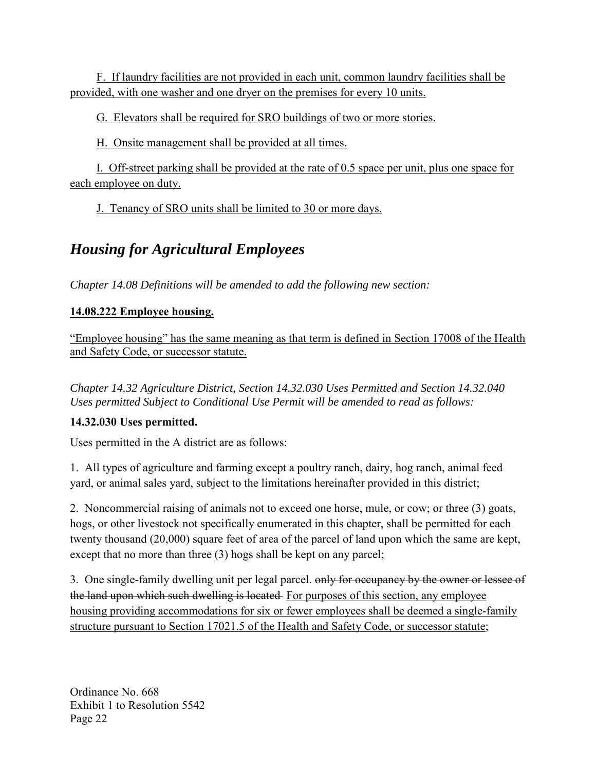F. If laundry facilities are not provided in each unit, common laundry facilities shall be provided, with one washer and one dryer on the premises for every 10 units.

G. Elevators shall be required for SRO buildings of two or more stories.

H. Onsite management shall be provided at all times.

 I. Off-street parking shall be provided at the rate of 0.5 space per unit, plus one space for each employee on duty.

J. Tenancy of SRO units shall be limited to 30 or more days.

# *Housing for Agricultural Employees*

*Chapter 14.08 Definitions will be amended to add the following new section:* 

# **14.08.222 Employee housing.**

"Employee housing" has the same meaning as that term is defined in Section 17008 of the Health and Safety Code, or successor statute.

*Chapter 14.32 Agriculture District, Section 14.32.030 Uses Permitted and Section 14.32.040 Uses permitted Subject to Conditional Use Permit will be amended to read as follows:* 

# **14.32.030 Uses permitted.**

Uses permitted in the A district are as follows:

1. All types of agriculture and farming except a poultry ranch, dairy, hog ranch, animal feed yard, or animal sales yard, subject to the limitations hereinafter provided in this district;

2. Noncommercial raising of animals not to exceed one horse, mule, or cow; or three (3) goats, hogs, or other livestock not specifically enumerated in this chapter, shall be permitted for each twenty thousand (20,000) square feet of area of the parcel of land upon which the same are kept, except that no more than three (3) hogs shall be kept on any parcel;

3. One single-family dwelling unit per legal parcel. only for occupancy by the owner or lessee of the land upon which such dwelling is located For purposes of this section, any employee housing providing accommodations for six or fewer employees shall be deemed a single-family structure pursuant to Section 17021.5 of the Health and Safety Code, or successor statute;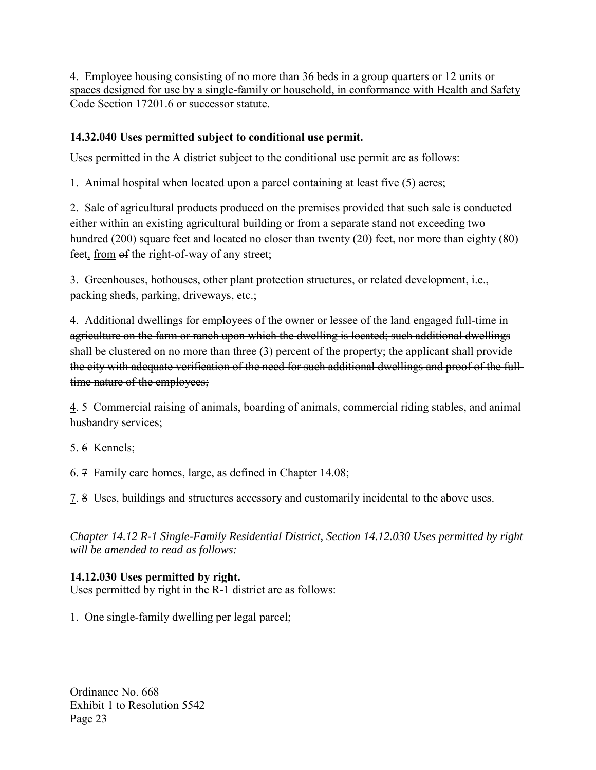4. Employee housing consisting of no more than 36 beds in a group quarters or 12 units or spaces designed for use by a single-family or household, in conformance with Health and Safety Code Section 17201.6 or successor statute.

## **14.32.040 Uses permitted subject to conditional use permit.**

Uses permitted in the A district subject to the conditional use permit are as follows:

1. Animal hospital when located upon a parcel containing at least five (5) acres;

2. Sale of agricultural products produced on the premises provided that such sale is conducted either within an existing agricultural building or from a separate stand not exceeding two hundred (200) square feet and located no closer than twenty (20) feet, nor more than eighty (80) feet, from  $\theta$ f the right-of-way of any street;

3. Greenhouses, hothouses, other plant protection structures, or related development, i.e., packing sheds, parking, driveways, etc.;

4. Additional dwellings for employees of the owner or lessee of the land engaged full-time in agriculture on the farm or ranch upon which the dwelling is located; such additional dwellings shall be clustered on no more than three (3) percent of the property; the applicant shall provide the city with adequate verification of the need for such additional dwellings and proof of the fulltime nature of the employees;

4. 5 Commercial raising of animals, boarding of animals, commercial riding stables, and animal husbandry services;

5. 6 Kennels;

6. 7 Family care homes, large, as defined in Chapter 14.08;

7. 8 Uses, buildings and structures accessory and customarily incidental to the above uses.

*Chapter 14.12 R-1 Single-Family Residential District, Section 14.12.030 Uses permitted by right will be amended to read as follows:* 

# **14.12.030 Uses permitted by right.**

Uses permitted by right in the R-1 district are as follows:

1. One single-family dwelling per legal parcel;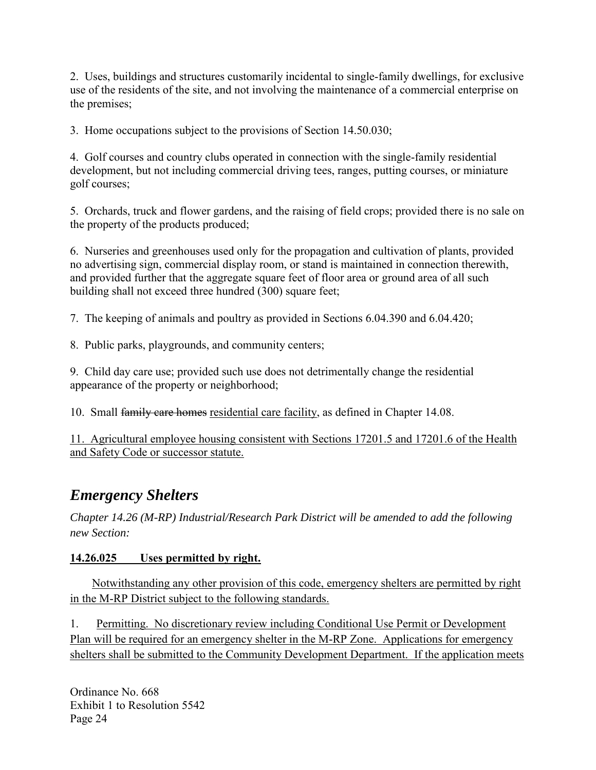2. Uses, buildings and structures customarily incidental to single-family dwellings, for exclusive use of the residents of the site, and not involving the maintenance of a commercial enterprise on the premises;

3. Home occupations subject to the provisions of Section 14.50.030;

4. Golf courses and country clubs operated in connection with the single-family residential development, but not including commercial driving tees, ranges, putting courses, or miniature golf courses;

5. Orchards, truck and flower gardens, and the raising of field crops; provided there is no sale on the property of the products produced;

6. Nurseries and greenhouses used only for the propagation and cultivation of plants, provided no advertising sign, commercial display room, or stand is maintained in connection therewith, and provided further that the aggregate square feet of floor area or ground area of all such building shall not exceed three hundred (300) square feet;

7. The keeping of animals and poultry as provided in Sections 6.04.390 and 6.04.420;

8. Public parks, playgrounds, and community centers;

9. Child day care use; provided such use does not detrimentally change the residential appearance of the property or neighborhood;

10. Small family care homes residential care facility, as defined in Chapter 14.08.

11. Agricultural employee housing consistent with Sections 17201.5 and 17201.6 of the Health and Safety Code or successor statute.

# *Emergency Shelters*

*Chapter 14.26 (M-RP) Industrial/Research Park District will be amended to add the following new Section:* 

# **14.26.025 Uses permitted by right.**

Notwithstanding any other provision of this code, emergency shelters are permitted by right in the M-RP District subject to the following standards.

1. Permitting. No discretionary review including Conditional Use Permit or Development Plan will be required for an emergency shelter in the M-RP Zone. Applications for emergency shelters shall be submitted to the Community Development Department. If the application meets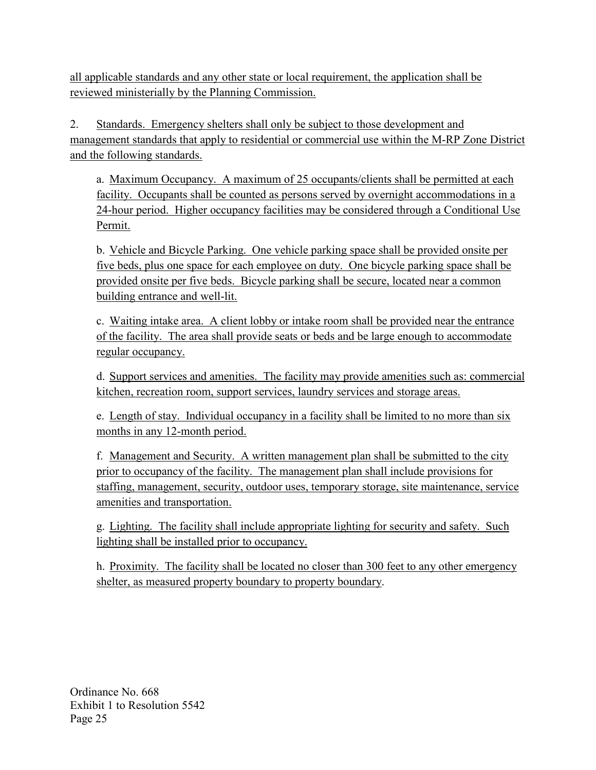all applicable standards and any other state or local requirement, the application shall be reviewed ministerially by the Planning Commission.

2. Standards. Emergency shelters shall only be subject to those development and management standards that apply to residential or commercial use within the M-RP Zone District and the following standards.

a. Maximum Occupancy. A maximum of 25 occupants/clients shall be permitted at each facility. Occupants shall be counted as persons served by overnight accommodations in a 24-hour period. Higher occupancy facilities may be considered through a Conditional Use Permit.

b. Vehicle and Bicycle Parking. One vehicle parking space shall be provided onsite per five beds, plus one space for each employee on duty. One bicycle parking space shall be provided onsite per five beds. Bicycle parking shall be secure, located near a common building entrance and well-lit.

c. Waiting intake area. A client lobby or intake room shall be provided near the entrance of the facility. The area shall provide seats or beds and be large enough to accommodate regular occupancy.

d. Support services and amenities. The facility may provide amenities such as: commercial kitchen, recreation room, support services, laundry services and storage areas.

e. Length of stay. Individual occupancy in a facility shall be limited to no more than six months in any 12-month period.

f. Management and Security. A written management plan shall be submitted to the city prior to occupancy of the facility. The management plan shall include provisions for staffing, management, security, outdoor uses, temporary storage, site maintenance, service amenities and transportation.

g. Lighting. The facility shall include appropriate lighting for security and safety. Such lighting shall be installed prior to occupancy.

h. Proximity. The facility shall be located no closer than 300 feet to any other emergency shelter, as measured property boundary to property boundary.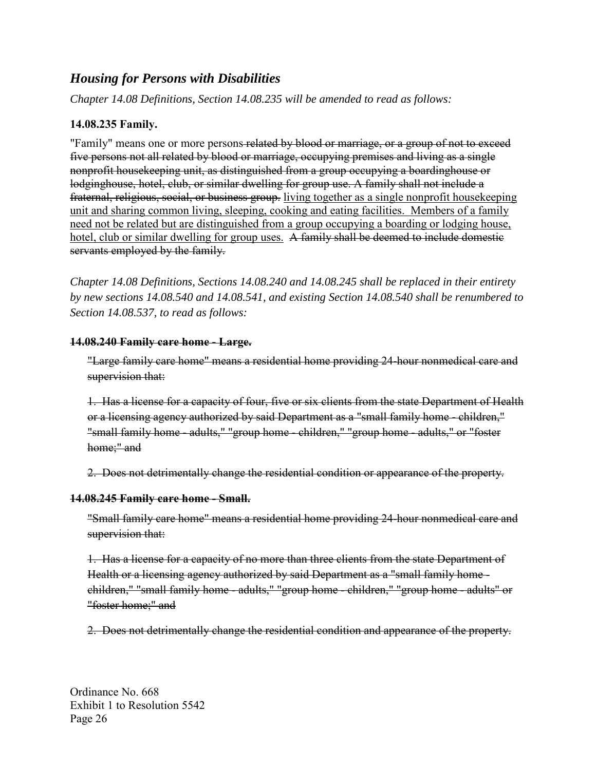# *Housing for Persons with Disabilities*

*Chapter 14.08 Definitions, Section 14.08.235 will be amended to read as follows:* 

#### **14.08.235 Family.**

"Family" means one or more persons-related by blood or marriage, or a group of not to exceed five persons not all related by blood or marriage, occupying premises and living as a single nonprofit housekeeping unit, as distinguished from a group occupying a boardinghouse or lodginghouse, hotel, club, or similar dwelling for group use. A family shall not include a fraternal, religious, social, or business group. living together as a single nonprofit housekeeping unit and sharing common living, sleeping, cooking and eating facilities. Members of a family need not be related but are distinguished from a group occupying a boarding or lodging house, hotel, club or similar dwelling for group uses. A family shall be deemed to include domestic servants employed by the family.

*Chapter 14.08 Definitions, Sections 14.08.240 and 14.08.245 shall be replaced in their entirety by new sections 14.08.540 and 14.08.541, and existing Section 14.08.540 shall be renumbered to Section 14.08.537, to read as follows:*

#### **14.08.240 Family care home - Large.**

"Large family care home" means a residential home providing 24-hour nonmedical care and supervision that:

1. Has a license for a capacity of four, five or six clients from the state Department of Health or a licensing agency authorized by said Department as a "small family home - children," "small family home - adults," "group home - children," "group home - adults," or "foster home;" and

2. Does not detrimentally change the residential condition or appearance of the property.

#### **14.08.245 Family care home - Small.**

"Small family care home" means a residential home providing 24-hour nonmedical care and supervision that:

1. Has a license for a capacity of no more than three clients from the state Department of Health or a licensing agency authorized by said Department as a "small family home children," "small family home - adults," "group home - children," "group home - adults" or "foster home;" and

2. Does not detrimentally change the residential condition and appearance of the property.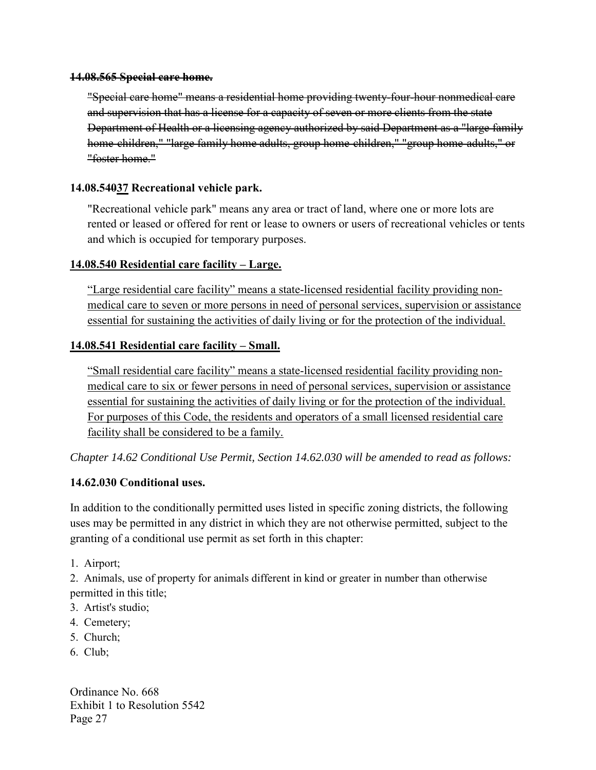#### **14.08.565 Special care home.**

"Special care home" means a residential home providing twenty-four-hour nonmedical care and supervision that has a license for a capacity of seven or more clients from the state Department of Health or a licensing agency authorized by said Department as a "large family home-children," "large family home adults, group home-children," "group home-adults," or "foster home."

#### **14.08.54037 Recreational vehicle park.**

"Recreational vehicle park" means any area or tract of land, where one or more lots are rented or leased or offered for rent or lease to owners or users of recreational vehicles or tents and which is occupied for temporary purposes.

#### **14.08.540 Residential care facility – Large.**

"Large residential care facility" means a state-licensed residential facility providing nonmedical care to seven or more persons in need of personal services, supervision or assistance essential for sustaining the activities of daily living or for the protection of the individual.

#### **14.08.541 Residential care facility – Small.**

"Small residential care facility" means a state-licensed residential facility providing nonmedical care to six or fewer persons in need of personal services, supervision or assistance essential for sustaining the activities of daily living or for the protection of the individual. For purposes of this Code, the residents and operators of a small licensed residential care facility shall be considered to be a family.

*Chapter 14.62 Conditional Use Permit, Section 14.62.030 will be amended to read as follows:* 

## **14.62.030 Conditional uses.**

In addition to the conditionally permitted uses listed in specific zoning districts, the following uses may be permitted in any district in which they are not otherwise permitted, subject to the granting of a conditional use permit as set forth in this chapter:

1. Airport;

2. Animals, use of property for animals different in kind or greater in number than otherwise permitted in this title;

- 3. Artist's studio;
- 4. Cemetery;
- 5. Church;
- 6. Club;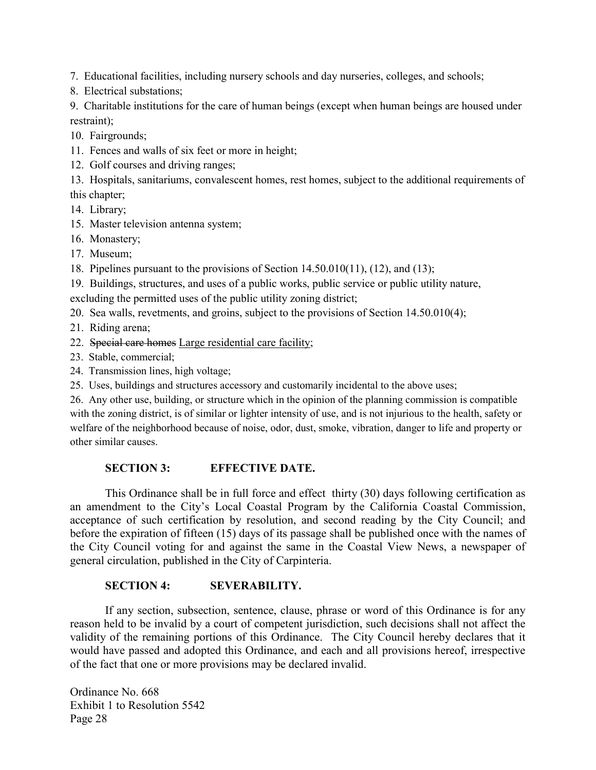7. Educational facilities, including nursery schools and day nurseries, colleges, and schools;

8. Electrical substations;

9. Charitable institutions for the care of human beings (except when human beings are housed under restraint);

10. Fairgrounds;

11. Fences and walls of six feet or more in height;

12. Golf courses and driving ranges;

13. Hospitals, sanitariums, convalescent homes, rest homes, subject to the additional requirements of this chapter;

14. Library;

15. Master television antenna system;

16. Monastery;

17. Museum;

18. Pipelines pursuant to the provisions of Section 14.50.010(11), (12), and (13);

19. Buildings, structures, and uses of a public works, public service or public utility nature,

excluding the permitted uses of the public utility zoning district;

20. Sea walls, revetments, and groins, subject to the provisions of Section 14.50.010(4);

21. Riding arena;

22. Special care homes Large residential care facility;

23. Stable, commercial;

24. Transmission lines, high voltage;

25. Uses, buildings and structures accessory and customarily incidental to the above uses;

26. Any other use, building, or structure which in the opinion of the planning commission is compatible with the zoning district, is of similar or lighter intensity of use, and is not injurious to the health, safety or welfare of the neighborhood because of noise, odor, dust, smoke, vibration, danger to life and property or other similar causes.

#### **SECTION 3: EFFECTIVE DATE.**

This Ordinance shall be in full force and effect thirty (30) days following certification as an amendment to the City's Local Coastal Program by the California Coastal Commission, acceptance of such certification by resolution, and second reading by the City Council; and before the expiration of fifteen (15) days of its passage shall be published once with the names of the City Council voting for and against the same in the Coastal View News, a newspaper of general circulation, published in the City of Carpinteria.

#### **SECTION 4: SEVERABILITY.**

If any section, subsection, sentence, clause, phrase or word of this Ordinance is for any reason held to be invalid by a court of competent jurisdiction, such decisions shall not affect the validity of the remaining portions of this Ordinance. The City Council hereby declares that it would have passed and adopted this Ordinance, and each and all provisions hereof, irrespective of the fact that one or more provisions may be declared invalid.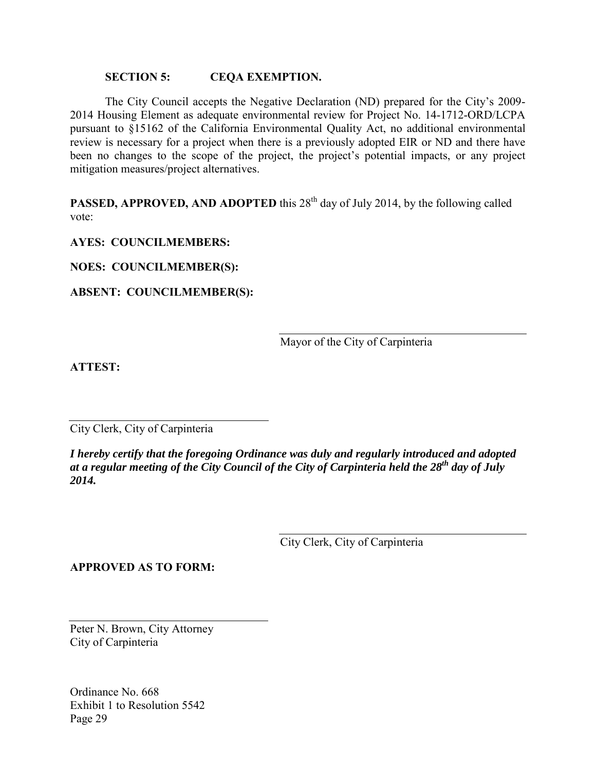#### **SECTION 5: CEQA EXEMPTION.**

The City Council accepts the Negative Declaration (ND) prepared for the City's 2009- 2014 Housing Element as adequate environmental review for Project No. 14-1712-ORD/LCPA pursuant to §15162 of the California Environmental Quality Act, no additional environmental review is necessary for a project when there is a previously adopted EIR or ND and there have been no changes to the scope of the project, the project's potential impacts, or any project mitigation measures/project alternatives.

**PASSED, APPROVED, AND ADOPTED** this 28<sup>th</sup> day of July 2014, by the following called vote:

**AYES: COUNCILMEMBERS:**

**NOES: COUNCILMEMBER(S):**

**ABSENT: COUNCILMEMBER(S):**

Mayor of the City of Carpinteria

**ATTEST:**

City Clerk, City of Carpinteria

*I hereby certify that the foregoing Ordinance was duly and regularly introduced and adopted at a regular meeting of the City Council of the City of Carpinteria held the 28th day of July 2014.* 

City Clerk, City of Carpinteria

**APPROVED AS TO FORM:**

Peter N. Brown, City Attorney City of Carpinteria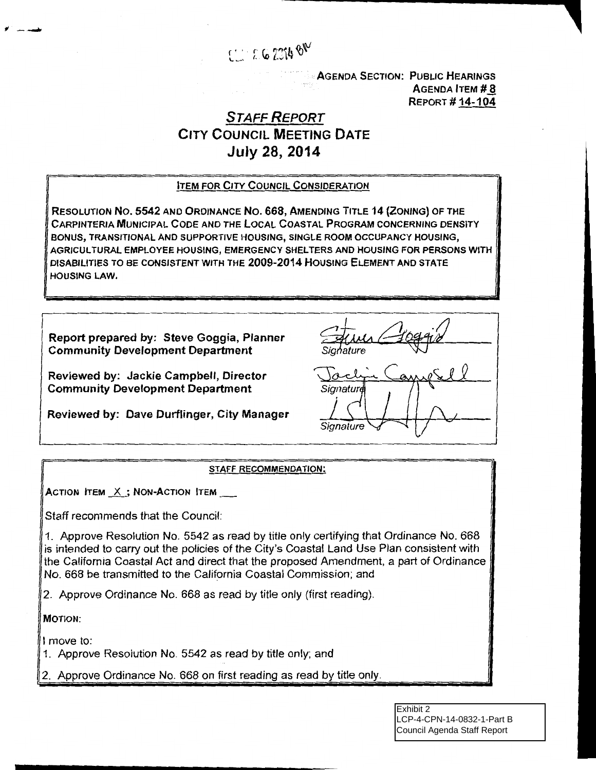

**AGENDA SECTION: PUBLIC HEARINGS**  $A$ GENDA **ITEM**  $# 8$ **REPORT #14-104** 

# STAFF REPORT CITY COUNCIL MEETING DATE July 28, 2014

#### ITEM FOR CITY COUNCIL CONSIDERATION

RESOLUTION No. 5542 AND ORDINANCE No. 668, AMENDING TITLE 14 {ZONING) OF THE CARPINTERIA MUNICIPAL CODE AND THE LOCAL COASTAL PROGRAM CONCERNING DENSITY BONUS, TRANSITIONAL AND SUPPORTIVE HOUSING, SINGLE ROOM OCCUPANCY HOUSING, AGRICULTURAL EMPLOYEE HOUSING, EMERGENCY SHELTERS AND HOUSING FOR PERSONS WITH DISABILITIES TO BE CONSISTENT WITH THE 2009-2014 HOUSING ELEMENT AND STATE HOUSING LAW.

Report prepared by: Steve Goggia, Planner Community Development Department

Reviewed by: Jackie Campbell, Director Community Development Department

Reviewed by: Dave Durflinger, City Manager

Sianature

#### STAFF RECOMMENDATION:

ACTION ITEM  $X$  ; NON-ACTION ITEM  $\frac{1}{1-\frac{1}{2}}$ 

Staff recommends that the Council:

1. Approve Resolution No. 5542 as read by title only certifying that Ordinance No. 668 is intended to carry out the policies of the City's Coastal Land Use Plan consistent with the California Coastal Act and direct that the proposed Amendment, a part of Ordinance No. 668 be transmitted to the California Coastal Commission; and

2. Approve Ordinance No. 668 as read by title only (first reading).

MOTION:

<span id="page-45-0"></span>fl-.........

I move to:

1. Approve Resolution No. 5542 as read by title only; and

2. Approve Ordinance No. 668 on first reading as read by title only.

Exhibit 2 LCP-4-CPN-14-0832-1-Part B Council Agenda Staff Report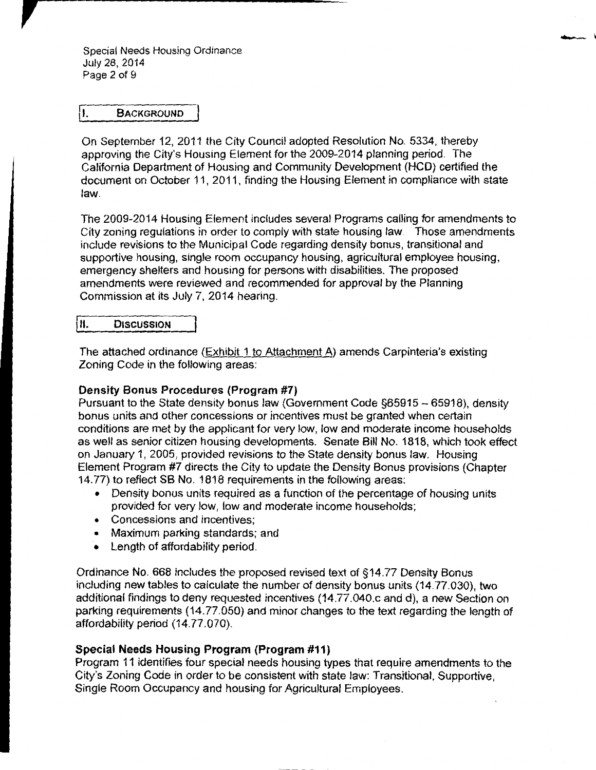Special Needs Housing Ordinance July 28, 2014 Page 2 of 9

#### I. BACKGROUND

On September 12, 2011 the City Council adopted Resolution No. 5334, thereby approving the City's Housing Element for the 2009-2014 planning period. The California Department of Housing and Community Development (HCD) certified the document on October 11, 2011, finding the Housing Element in compliance with state law.

The 2009-2014 Housing Element includes several Programs calling for amendments to City zoning regulations in order to comply with state housing law. Those amendments include revisions to the Municipal Code regarding density bonus, transitional and supportive housing, single room occupancy housing, agricultural employee housing, emergency shelters and housing for persons with disabilities. The proposed amendments were reviewed and recommended for approval by the Planning Commission at its July 7, 2014 hearing.

| II. | <b>DISCUSSION</b> |
|-----|-------------------|
|     |                   |

The attached ordinance (Exhibit 1 to Attachment A} amends Carpinteria's existing Zoning Code in the following areas:

#### Density Bonus Procedures (Program #7)

Pursuant to the State density bonus law (Government Code §65915- 65918), density bonus units and other concessions or incentives must be granted when certain conditions are met by the applicant for very low, low and moderate income households as well as senior citizen housing developments. Senate Bill No. 1818, which took effect on January 1, 2005, provided revisions to the State density bonus law. Housing Element Program #7 directs the City to update the Density Bonus provisions (Chapter 14.77) to reflect SB No. 1818 requirements in the following areas:

- Density bonus units required as a function of the percentage of housing units provided for very low, low and moderate income households;
- Concessions and incentives;
- Maximum parking standards; and
- Length of affordability period.

Ordinance No. 668 includes the proposed revised text of §14.77 Density Bonus including new tables to calculate the number of density bonus units (14.77.030), two additional findings to deny requested incentives (14.77.040.c and d), a new Section on parking requirements (14.77.050) and minor changes to the text regarding the length of affordability period (14.77.070).

#### Special Needs Housing Program (Program #11)

Program 11 identifies four special needs housing types that require amendments to the City's Zoning Code in order to be consistent with state law: Transitional, Supportive, Single Room Occupancy and housing for Agricultural Employees.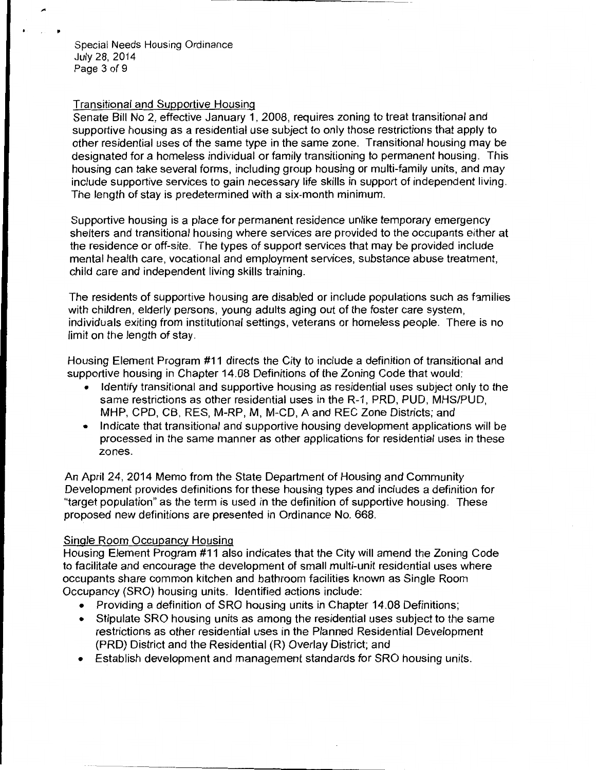Special Needs Housing Ordinance July 28, 2014 Page 3 of 9

#### Transitional and Supportive Housing

Senate Bill No 2, effective January 1, 2008, requires zoning to treat transitional and supportive housing as a residential use subject to only those restrictions that apply to other residential uses of the same type in the same zone. Transitional housing may be designated for a homeless individual or family transitioning to permanent housing. This housing can take several forms, including group housing or multi-family units, and may include supportive services to gain necessary life skills in support of independent living. The length of stay is predetermined with a six-month minimum.

Supportive housing is a place for permanent residence unlike temporary emergency shelters and transitional housing where services are provided to the occupants either at the residence or off-site. The types of support services that may be provided include mental health care, vocational and employment services, substance abuse treatment, child care and independent living skills training.

The residents of supportive housing are disabled or include populations such as families with children, elderly persons, young adults aging out of the foster care system, individuals exiting from institutional settings, veterans or homeless people. There is no limit on the length of stay.

Housing Element Program #11 directs the City to include a definition of transitional and supportive housing in Chapter 14.08 Definitions of the Zoning Code that would:

- Identify transitional and supportive housing as residential uses subject only to the same restrictions as other residential uses in the R-1, PRO, PUD, MHS/PUD, MHP, CPO, CB, RES, M-RP, M, M-CD, A and REC Zone Districts; and
- Indicate that transitional and supportive housing development applications will be processed in the same manner as other applications for residential uses in these zones.

An April 24, 2014 Memo from the State Department of Housing and Community Development provides definitions for these housing types and includes a definition for "target population" as the term is used in the definition of supportive housing. These proposed new definitions are presented in Ordinance No. 668.

#### Single Room Occupancy Housing

Housing Element Program #11 also indicates that the City will amend the Zoning Code to facilitate and encourage the development of small multi-unit residential uses where occupants share common kitchen and bathroom facilities known as Single Room Occupancy (SRO) housing units. Identified actions include:

- Providing a definition of SRO housing units in Chapter 14.08 Definitions;
- Stipulate SRO housing units as among the residential uses subject to the same restrictions as other residential uses in the Planned Residential Development (PRO) District and the Residential (R) Overlay District; and
- Establish development and management standards for SRO housing units.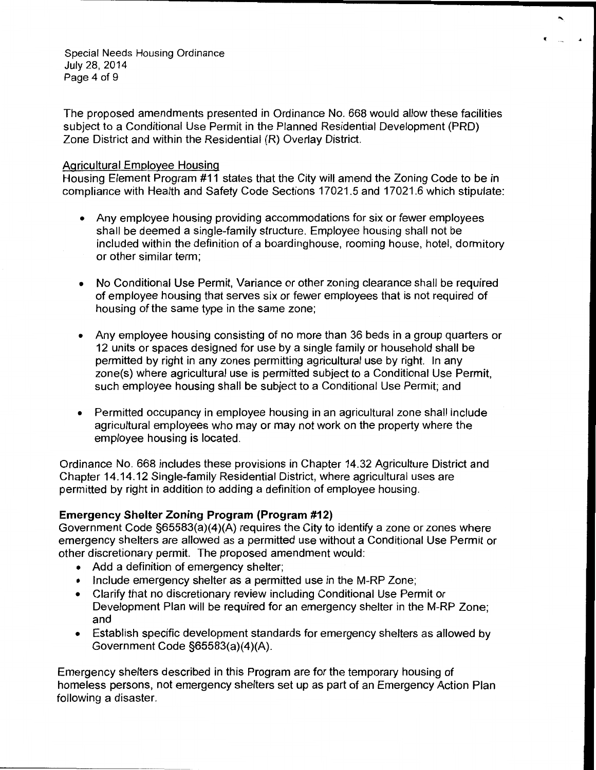Special Needs Housing Ordinance July 28, 2014 Page 4 of 9

The proposed amendments presented in Ordinance No. 668 would allow these facilities subject to a Conditional Use Permit in the Planned Residential Development (PRO) Zone District and within the Residential (R) Overlay District.

#### Agricultural Employee Housing

Housing Element Program #11 states that the City will amend the Zoning Code to be in compliance with Health and Safety Code Sections 17021.5 and 17021.6 which stipulate:

- Any employee housing providing accommodations for six or fewer employees shall be deemed a single-family structure. Employee housing shall not be included within the definition of a boardinghouse, rooming house, hotel, dormitory or other similar term;
- No Conditional Use Permit, Variance or other zoning clearance shall be required of employee housing that serves six or fewer employees that is not required of housing of the same type in the same zone;
- Any employee housing consisting of no more than 36 beds in a group quarters or 12 units or spaces designed for use by a single family or household shall be permitted by right in any zones permitting agricultural use by right. In any zone(s) where agricultural use is permitted subject to a Conditional Use Permit, such employee housing shall be subject to a Conditional Use Permit; and
- Permitted occupancy in employee housing in an agricultural zone shall include agricultural employees who may or may not work on the property where the employee housing is located.

Ordinance No. 668 includes these provisions in Chapter 14.32 Agriculture District and Chapter 14.14.12 Single-family Residential District, where agricultural uses are permitted by right in addition to adding a definition of employee housing.

#### **Emergency Shelter Zoning Program (Program #12)**

Government Code §65583(a)(4)(A) requires the City to identify a zone or zones where emergency shelters are allowed as a permitted use without a Conditional Use Permit or other discretionary permit. The proposed amendment would:

- Add a definition of emergency shelter;
- Include emergency shelter as a permitted use in the M-RP Zone;
- Clarify that no discretionary review including Conditional Use Permit or Development Plan will be required for an emergency shelter in the M-RP Zone; and
- Establish specific development standards for emergency shelters as allowed by Government Code §65583(a)(4)(A).

Emergency shelters described in this Program are for the temporary housing of homeless persons, not emergency shelters set up as part of an Emergency Action Plan following a disaster.

 $\ddot{\phantom{1}}$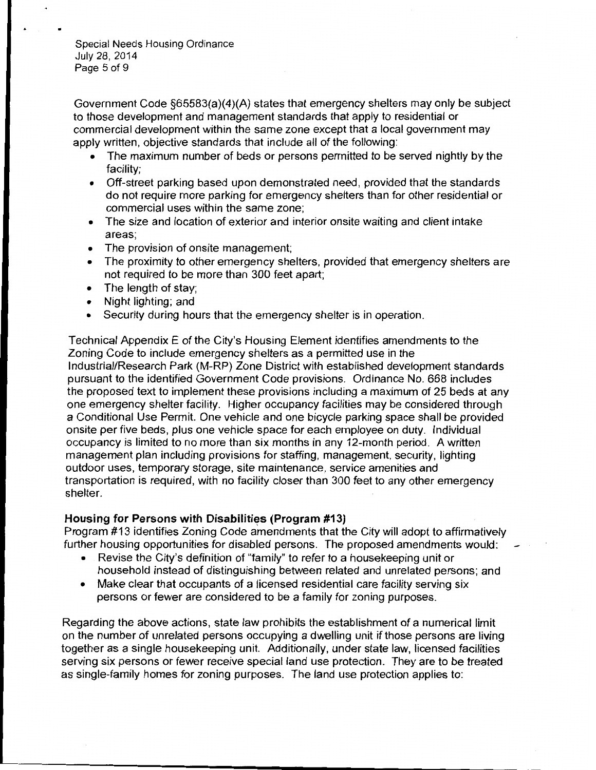Special Needs Housing Ordinance July 28, 2014 Page 5 of 9

Government Code §65583(a)(4)(A) states that emergency shelters may only be subject to those development and management standards that apply to residential or commercial development within the same zone except that a local government may apply written, objective standards that include all of the following:

- The maximum number of beds or persons permitted to be served nightly by the facility;
- Off-street parking based upon demonstrated need, provided that the standards do not require more parking for emergency shelters than for other residential or commercial uses within the same zone;
- The size and location of exterior and interior onsite waiting and client intake areas;
- The provision of onsite management;
- The proximity to other emergency shelters, provided that emergency shelters are not required to be more than 300 feet apart;
- The length of stay;
- Night lighting; and
- Security during hours that the emergency shelter is in operation.

Technical Appendix E of the City's Housing Element identifies amendments to the Zoning Code to include emergency shelters as a permitted use in the Industrial/Research Park (M-RP) Zone District with established development standards pursuant to the identified Government Code provisions. Ordinance No. 668 includes the proposed text to implement these provisions including a maximum of 25 beds at any one emergency shelter facility. Higher occupancy facilities may be considered through a Conditional Use Permit. One vehicle and one bicycle parking space shall be provided onsite per five beds, plus one vehicle space for each employee on duty. Individual occupancy is limited to no more than six months in any 12-month period. A written management plan including provisions for staffing, management, security, lighting outdoor uses, temporary storage, site maintenance, service amenities and transportation is required, with no facility closer than 300 feet to any other emergency shelter.

#### **Housing for Persons with Disabilities (Program** #13)

Program #13 identifies Zoning Code amendments that the City will adopt to affirmatively further housing opportunities for disabled persons. The proposed amendments would:

- Revise the City's definition of "family" to refer to a housekeeping unit or household instead of distinguishing between related and unrelated persons; and
- Make clear that occupants of a licensed residential care facility serving six persons or fewer are considered to be a family for zoning purposes.

Regarding the above actions, state law prohibits the establishment of a numerical limit on the number of unrelated persons occupying a dwelling unit if those persons are living together as a single housekeeping unit. Additionally, under state law, licensed facilities serving six persons or fewer receive special land use protection. They are to be treated as single-family homes for zoning purposes. The land use protection applies to: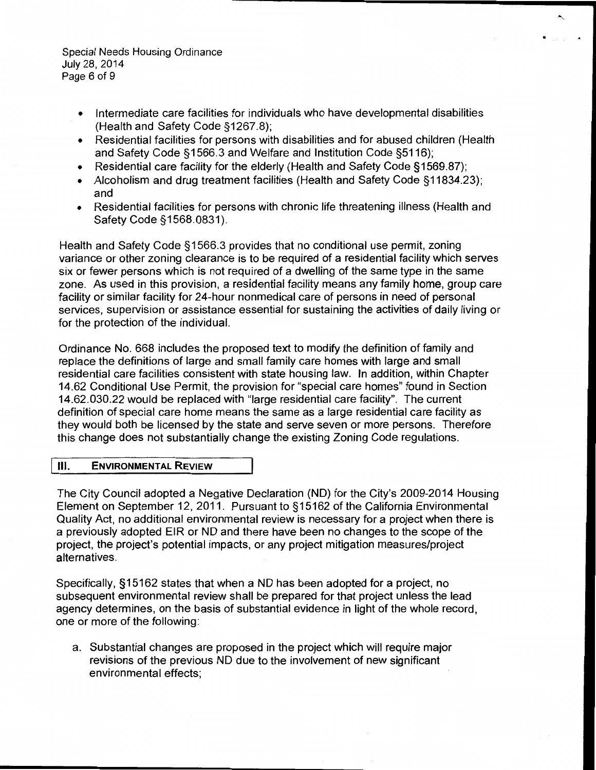Special Needs Housing Ordinance July 28, 2014 Page 6 of 9

- Intermediate care facilities for individuals who have developmental disabilities (Health and Safety Code §1267.8);
- Residential facilities for persons with disabilities and for abused children (Health and Safety Code §1566.3 and Welfare and Institution Code §5116);

 $\ddot{\phantom{1}}$ 

- Residential care facility for the elderly (Health and Safety Code §1569.87);
- Alcoholism and drug treatment facilities (Health and Safety Code §11834.23); and
- Residential facilities for persons with chronic life threatening illness (Health and Safety Code § 1568.0831).

Health and Safety Code § 1566.3 provides that no conditional use permit, zoning variance or other zoning clearance is to be required of a residential facility which serves six or fewer persons which is not required of a dwelling of the same type in the same zone. As used in this provision, a residential facility means any family home, group care facility or similar facility for 24-hour nonmedical care of persons in need of personal services, supervision or assistance essential for sustaining the activities of daily living or for the protection of the individual.

Ordinance No. 668 includes the proposed text to modify the definition of family and replace the definitions of large and small family care homes with large and small residential care facilities consistent with state housing law. In addition, within Chapter 14.62 Conditional Use Permit, the provision for "special care homes" found in Section 14.62.030.22 would be replaced with "large residential care facility". The current definition of special care home means the same as a large residential care facility as they would both be licensed by the state and serve seven or more persons. Therefore this change does not substantially change the existing Zoning Code regulations.

#### **III. ENVIRONMENTAL REVIEW**

The City Council adopted a Negative Declaration (ND) for the City's 2009-2014 Housing Element on September 12, 2011. Pursuant to § 15162 of the California Environmental Quality Act, no additional environmental review is necessary for a project when there is a previously adopted EIR or ND and there have been no changes to the scope of the project, the project's potential impacts, or any project mitigation measures/project alternatives.

Specifically, §15162 states that when a ND has been adopted for a project, no subsequent environmental review shall be prepared for that project unless the lead agency determines, on the basis of substantial evidence in light of the whole record, one or more of the following:

a. Substantial changes are proposed in the project which will require major revisions of the previous ND due to the involvement of new significant environmental effects;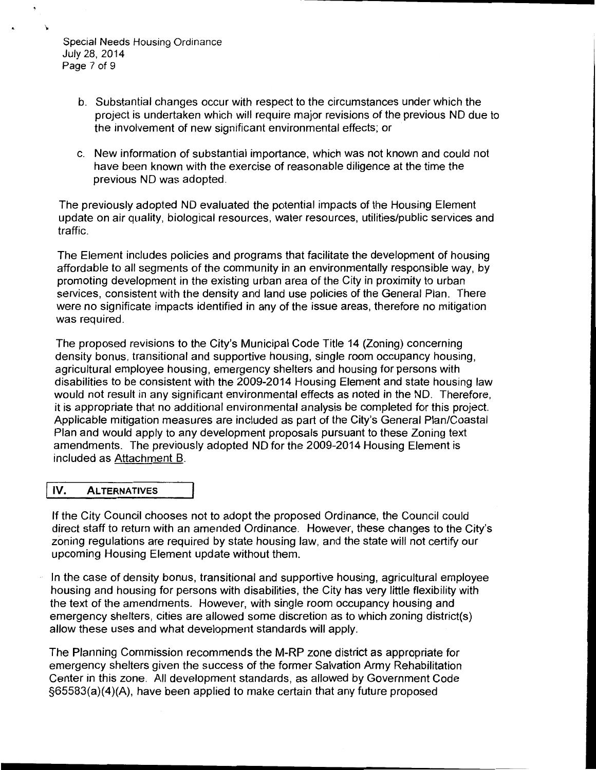Special Needs Housing Ordinance July 28, 2014 Page 7 of 9

- b. Substantial changes occur with respect to the circumstances under which the project is undertaken which will require major revisions of the previous NO due to the involvement of new significant environmental effects; or
- c. New information of substantial importance, which was not known and could not have been known with the exercise of reasonable diligence at the time the previous NO was adopted.

The previously adopted NO evaluated the potential impacts of the Housing Element update on air quality, biological resources, water resources, utilities/public services and traffic.

The Element includes policies and programs that facilitate the development of housing affordable to all segments of the community in an environmentally responsible way, by promoting development in the existing urban area of the City in proximity to urban services, consistent with the density and land use policies of the General Plan. There were no significate impacts identified in any of the issue areas, therefore no mitigation was required.

The proposed revisions to the City's Municipal Code Title 14 (Zoning) concerning density bonus, transitional and supportive housing, single room occupancy housing, agricultural employee housing, emergency shelters and housing for persons with disabilities to be consistent with the 2009-2014 Housing Element and state housing law would not result in any significant environmental effects as noted in the NO. Therefore, it is appropriate that no additional environmental analysis be completed for this project. Applicable mitigation measures are included as part of the City's General Plan/Coastal Plan and would apply to any development proposals pursuant to these Zoning text amendments. The previously adopted NO for the 2009-2014 Housing Element is included as Attachment B.

#### jiV. ALTERNATIVES

If the City Council chooses not to adopt the proposed Ordinance, the Council could direct staff to return with an amended Ordinance. However, these changes to the City's zoning regulations are required by state housing law, and the state will not certify our upcoming Housing Element update without them.

In the case of density bonus, transitional and supportive housing, agricultural employee housing and housing for persons with disabilities, the City has very little flexibility with the text of the amendments. However, with single room occupancy housing and emergency shelters, cities are allowed some discretion as to which zoning district(s) allow these uses and what development standards will apply.

The Planning Commission recommends the M-RP zone district as appropriate for emergency shelters given the success of the former Salvation Army Rehabilitation Center in this zone. All development standards, as allowed by Government Code §65583(a)(4)(A), have been applied to make certain that any future proposed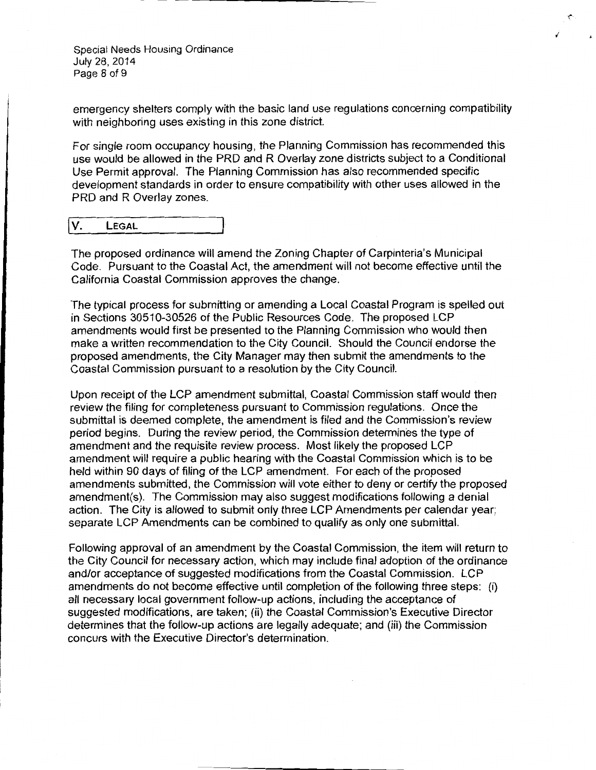Special Needs Housing Ordinance July 28, 2014 Page 8 of 9

emergency shelters comply with the basic land use regulations concerning compatibility with neighboring uses existing in this zone district.

For single room occupancy housing, the Planning Commission has recommended this use would be allowed in the PRO and R Overlay zone districts subject to a Conditional Use Permit approval. The Planning Commission has also recommended specific development standards in order to ensure compatibility with other uses allowed in the PRD and R Overlay zones.

| ١v. | LEGAL |
|-----|-------|
|     |       |

The proposed ordinance will amend the Zoning Chapter of Carpinteria's Municipal Code. Pursuant to the Coastal Act, the amendment will not become effective until the California Coastal Commission approves the change.

The typical process for submitting or amending a Local Coastal Program is spelled out in Sections 30510-30526 of the Public Resources Code. The proposed LCP amendments would first be presented to the Planning Commission who would then make a written recommendation to the City Council. Should the Council endorse the proposed amendments, the City Manager may then submit the amendments to the Coastal Commission pursuant to a resolution by the City Council.

Upon receipt of the LCP amendment submittal, Coastal Commission staff would then review the filing for completeness pursuant to Commission regulations. Once the submittal is deemed complete, the amendment is filed and the Commission's review period begins. During the review period, the Commission determines the type of amendment and the requisite review process. Most likely the proposed LCP amendment will require a public hearing with the Coastal Commission which is to be held within 90 days of filing of the LCP amendment. For each of the proposed amendments submitted, the Commission will vote either to deny or certify the proposed amendment(s}. The Commission may also suggest modifications following a denial action. The City is allowed to submit only three LCP Amendments per calendar year; separate LCP Amendments can be combined to qualify as only one submittal.

Following approval of an amendment by the Coastal Commission, the item will return to the City Council for necessary action, which may include final adoption of the ordinance and/or acceptance of suggested modifications from the Coastal Commission. LCP amendments do not become effective until completion of the following three steps: (i) all necessary local government follow-up actions, including the acceptance of suggested modifications, are taken; (ii) the Coastal Commission's Executive Director determines that the follow-up actions are legally adequate; and (iii) the Commission concurs with the Executive Director's determination.